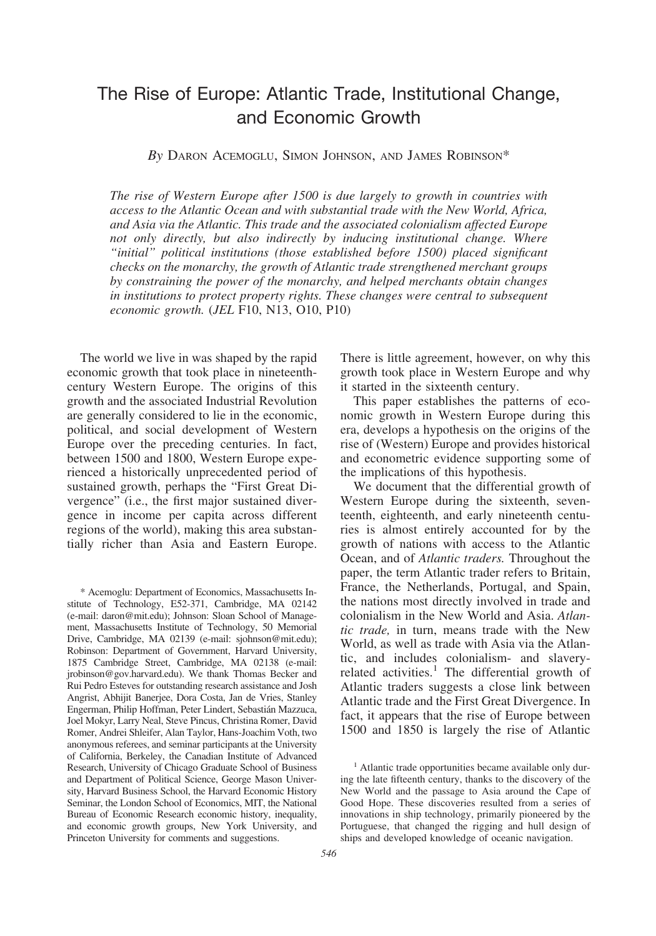# The Rise of Europe: Atlantic Trade, Institutional Change, and Economic Growth

*By* DARON ACEMOGLU, SIMON JOHNSON, AND JAMES ROBINSON\*

*The rise of Western Europe after 1500 is due largely to growth in countries with access to the Atlantic Ocean and with substantial trade with the New World, Africa, and Asia via the Atlantic. This trade and the associated colonialism affected Europe not only directly, but also indirectly by inducing institutional change. Where "initial" political institutions (those established before 1500) placed significant checks on the monarchy, the growth of Atlantic trade strengthened merchant groups by constraining the power of the monarchy, and helped merchants obtain changes in institutions to protect property rights. These changes were central to subsequent economic growth.* (*JEL* F10, N13, O10, P10)

The world we live in was shaped by the rapid economic growth that took place in nineteenthcentury Western Europe. The origins of this growth and the associated Industrial Revolution are generally considered to lie in the economic, political, and social development of Western Europe over the preceding centuries. In fact, between 1500 and 1800, Western Europe experienced a historically unprecedented period of sustained growth, perhaps the "First Great Divergence" (i.e., the first major sustained divergence in income per capita across different regions of the world), making this area substantially richer than Asia and Eastern Europe.

\* Acemoglu: Department of Economics, Massachusetts Institute of Technology, E52-371, Cambridge, MA 02142 (e-mail: daron@mit.edu); Johnson: Sloan School of Management, Massachusetts Institute of Technology, 50 Memorial Drive, Cambridge, MA 02139 (e-mail: sjohnson@mit.edu); Robinson: Department of Government, Harvard University, 1875 Cambridge Street, Cambridge, MA 02138 (e-mail: jrobinson@gov.harvard.edu). We thank Thomas Becker and Rui Pedro Esteves for outstanding research assistance and Josh Angrist, Abhijit Banerjee, Dora Costa, Jan de Vries, Stanley Engerman, Philip Hoffman, Peter Lindert, Sebastia´n Mazzuca, Joel Mokyr, Larry Neal, Steve Pincus, Christina Romer, David Romer, Andrei Shleifer, Alan Taylor, Hans-Joachim Voth, two anonymous referees, and seminar participants at the University of California, Berkeley, the Canadian Institute of Advanced Research, University of Chicago Graduate School of Business and Department of Political Science, George Mason University, Harvard Business School, the Harvard Economic History Seminar, the London School of Economics, MIT, the National Bureau of Economic Research economic history, inequality, and economic growth groups, New York University, and Princeton University for comments and suggestions.

There is little agreement, however, on why this growth took place in Western Europe and why it started in the sixteenth century.

This paper establishes the patterns of economic growth in Western Europe during this era, develops a hypothesis on the origins of the rise of (Western) Europe and provides historical and econometric evidence supporting some of the implications of this hypothesis.

We document that the differential growth of Western Europe during the sixteenth, seventeenth, eighteenth, and early nineteenth centuries is almost entirely accounted for by the growth of nations with access to the Atlantic Ocean, and of *Atlantic traders.* Throughout the paper, the term Atlantic trader refers to Britain, France, the Netherlands, Portugal, and Spain, the nations most directly involved in trade and colonialism in the New World and Asia. *Atlantic trade,* in turn, means trade with the New World, as well as trade with Asia via the Atlantic, and includes colonialism- and slaveryrelated activities.<sup>1</sup> The differential growth of Atlantic traders suggests a close link between Atlantic trade and the First Great Divergence. In fact, it appears that the rise of Europe between 1500 and 1850 is largely the rise of Atlantic

<sup>&</sup>lt;sup>1</sup> Atlantic trade opportunities became available only during the late fifteenth century, thanks to the discovery of the New World and the passage to Asia around the Cape of Good Hope. These discoveries resulted from a series of innovations in ship technology, primarily pioneered by the Portuguese, that changed the rigging and hull design of ships and developed knowledge of oceanic navigation.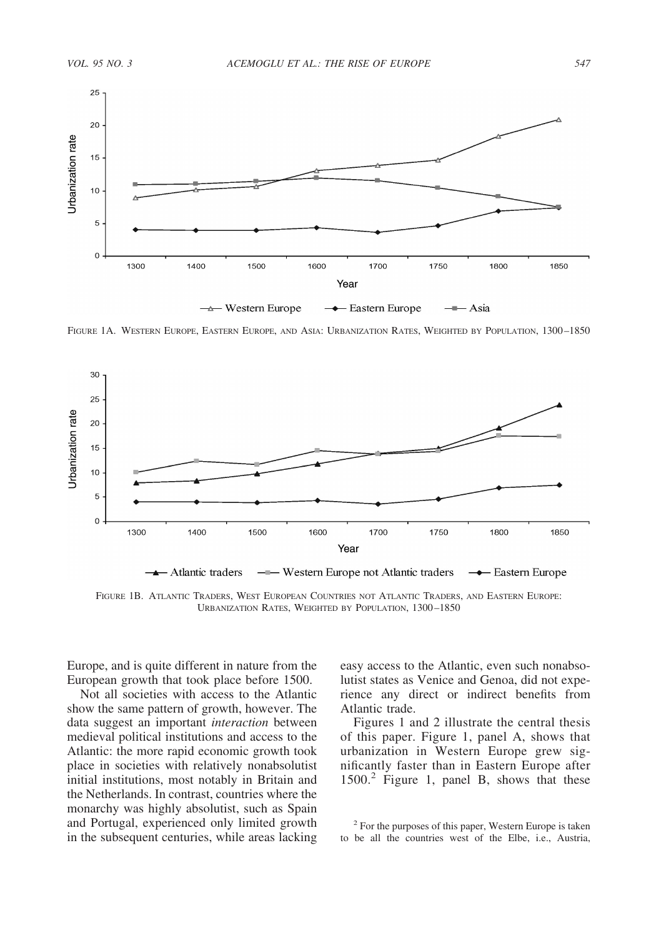

FIGURE 1A. WESTERN EUROPE, EASTERN EUROPE, AND ASIA: URBANIZATION RATES, WEIGHTED BY POPULATION, 1300–1850



FIGURE 1B. ATLANTIC TRADERS, WEST EUROPEAN COUNTRIES NOT ATLANTIC TRADERS, AND EASTERN EUROPE: URBANIZATION RATES, WEIGHTED BY POPULATION, 1300–1850

Europe, and is quite different in nature from the European growth that took place before 1500.

Not all societies with access to the Atlantic show the same pattern of growth, however. The data suggest an important *interaction* between medieval political institutions and access to the Atlantic: the more rapid economic growth took place in societies with relatively nonabsolutist initial institutions, most notably in Britain and the Netherlands. In contrast, countries where the monarchy was highly absolutist, such as Spain and Portugal, experienced only limited growth in the subsequent centuries, while areas lacking easy access to the Atlantic, even such nonabsolutist states as Venice and Genoa, did not experience any direct or indirect benefits from Atlantic trade.

Figures 1 and 2 illustrate the central thesis of this paper. Figure 1, panel A, shows that urbanization in Western Europe grew significantly faster than in Eastern Europe after 1500.<sup>2</sup> Figure 1, panel B, shows that these

<sup>2</sup> For the purposes of this paper, Western Europe is taken to be all the countries west of the Elbe, i.e., Austria,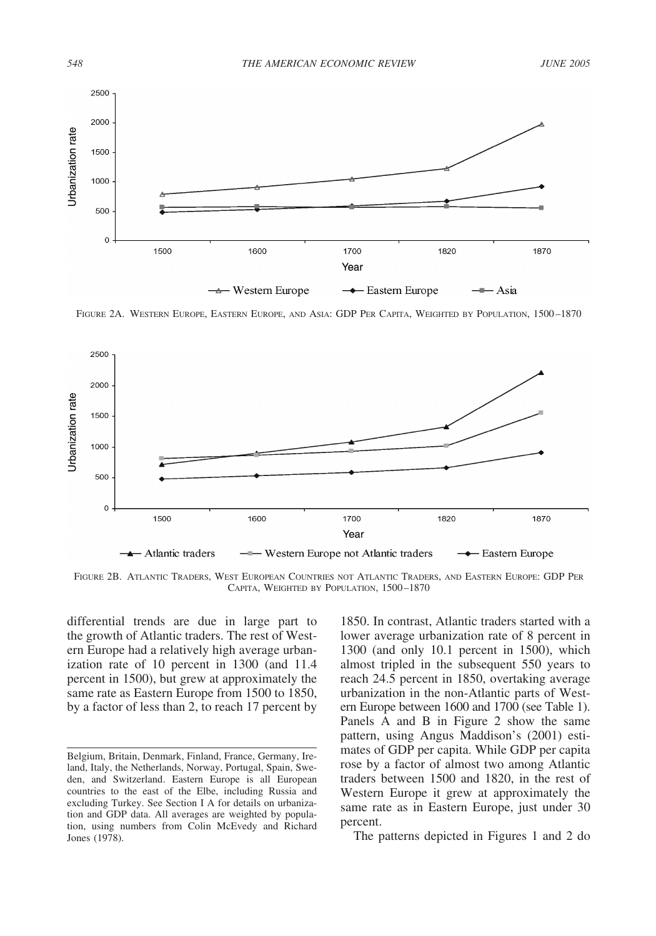

FIGURE 2A. WESTERN EUROPE, EASTERN EUROPE, AND ASIA: GDP PER CAPITA, WEIGHTED BY POPULATION, 1500–1870



FIGURE 2B. ATLANTIC TRADERS, WEST EUROPEAN COUNTRIES NOT ATLANTIC TRADERS, AND EASTERN EUROPE: GDP PER CAPITA, WEIGHTED BY POPULATION, 1500–1870

differential trends are due in large part to the growth of Atlantic traders. The rest of Western Europe had a relatively high average urbanization rate of 10 percent in 1300 (and 11.4 percent in 1500), but grew at approximately the same rate as Eastern Europe from 1500 to 1850, by a factor of less than 2, to reach 17 percent by 1850. In contrast, Atlantic traders started with a lower average urbanization rate of 8 percent in 1300 (and only 10.1 percent in 1500), which almost tripled in the subsequent 550 years to reach 24.5 percent in 1850, overtaking average urbanization in the non-Atlantic parts of Western Europe between 1600 and 1700 (see Table 1). Panels A and B in Figure 2 show the same pattern, using Angus Maddison's (2001) estimates of GDP per capita. While GDP per capita rose by a factor of almost two among Atlantic traders between 1500 and 1820, in the rest of Western Europe it grew at approximately the same rate as in Eastern Europe, just under 30 percent.

The patterns depicted in Figures 1 and 2 do

Belgium, Britain, Denmark, Finland, France, Germany, Ireland, Italy, the Netherlands, Norway, Portugal, Spain, Sweden, and Switzerland. Eastern Europe is all European countries to the east of the Elbe, including Russia and excluding Turkey. See Section I A for details on urbanization and GDP data. All averages are weighted by population, using numbers from Colin McEvedy and Richard Jones (1978).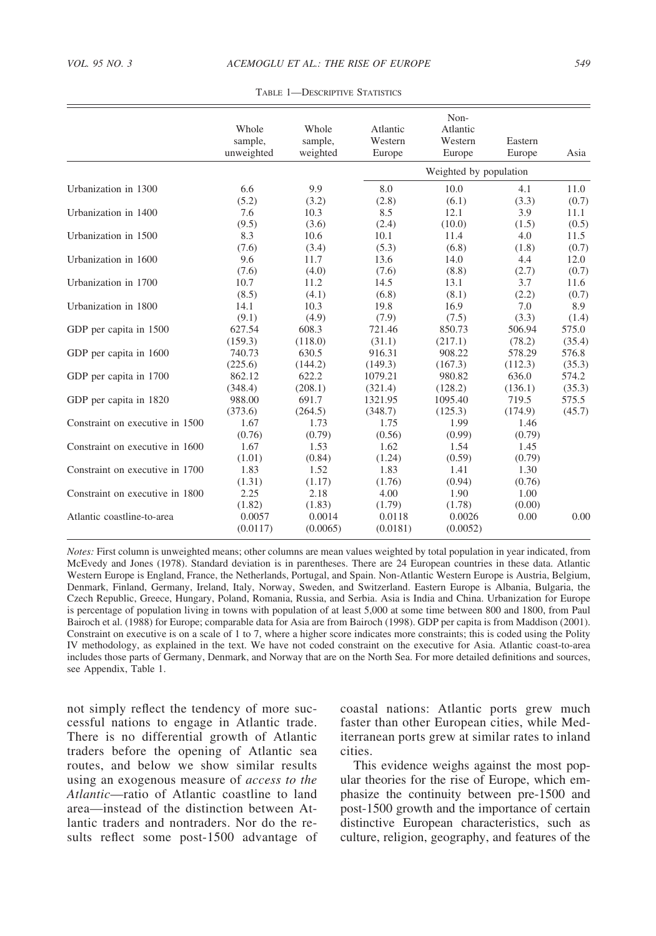|                                 | Whole<br>sample,<br>unweighted | Whole<br>sample,<br>weighted | Atlantic<br>Western<br>Europe | Non-<br>Atlantic<br>Western<br>Europe | Eastern<br>Europe | Asia   |
|---------------------------------|--------------------------------|------------------------------|-------------------------------|---------------------------------------|-------------------|--------|
|                                 |                                |                              |                               | Weighted by population                |                   |        |
| Urbanization in 1300            | 6.6                            | 9.9                          | 8.0                           | 10.0                                  | 4.1               | 11.0   |
|                                 | (5.2)                          | (3.2)                        | (2.8)                         | (6.1)                                 | (3.3)             | (0.7)  |
| Urbanization in 1400            | 7.6                            | 10.3                         | 8.5                           | 12.1                                  | 3.9               | 11.1   |
|                                 | (9.5)                          | (3.6)                        | (2.4)                         | (10.0)                                | (1.5)             | (0.5)  |
| Urbanization in 1500            | 8.3                            | 10.6                         | 10.1                          | 11.4                                  | 4.0               | 11.5   |
|                                 | (7.6)                          | (3.4)                        | (5.3)                         | (6.8)                                 | (1.8)             | (0.7)  |
| Urbanization in 1600            | 9.6                            | 11.7                         | 13.6                          | 14.0                                  | 4.4               | 12.0   |
|                                 | (7.6)                          | (4.0)                        | (7.6)                         | (8.8)                                 | (2.7)             | (0.7)  |
| Urbanization in 1700            | 10.7                           | 11.2                         | 14.5                          | 13.1                                  | 3.7               | 11.6   |
|                                 | (8.5)                          | (4.1)                        | (6.8)                         | (8.1)                                 | (2.2)             | (0.7)  |
| Urbanization in 1800            | 14.1                           | 10.3                         | 19.8                          | 16.9                                  | 7.0               | 8.9    |
|                                 | (9.1)                          | (4.9)                        | (7.9)                         | (7.5)                                 | (3.3)             | (1.4)  |
| GDP per capita in 1500          | 627.54                         | 608.3                        | 721.46                        | 850.73                                | 506.94            | 575.0  |
|                                 | (159.3)                        | (118.0)                      | (31.1)                        | (217.1)                               | (78.2)            | (35.4) |
| GDP per capita in 1600          | 740.73                         | 630.5                        | 916.31                        | 908.22                                | 578.29            | 576.8  |
|                                 | (225.6)                        | (144.2)                      | (149.3)                       | (167.3)                               | (112.3)           | (35.3) |
| GDP per capita in 1700          | 862.12                         | 622.2                        | 1079.21                       | 980.82                                | 636.0             | 574.2  |
|                                 | (348.4)                        | (208.1)                      | (321.4)                       | (128.2)                               | (136.1)           | (35.3) |
| GDP per capita in 1820          | 988.00                         | 691.7                        | 1321.95                       | 1095.40                               | 719.5             | 575.5  |
|                                 | (373.6)                        | (264.5)                      | (348.7)                       | (125.3)                               | (174.9)           | (45.7) |
| Constraint on executive in 1500 | 1.67                           | 1.73                         | 1.75                          | 1.99                                  | 1.46              |        |
|                                 | (0.76)                         | (0.79)                       | (0.56)                        | (0.99)                                | (0.79)            |        |
| Constraint on executive in 1600 | 1.67                           | 1.53                         | 1.62                          | 1.54                                  | 1.45              |        |
|                                 | (1.01)                         | (0.84)                       | (1.24)                        | (0.59)                                | (0.79)            |        |
| Constraint on executive in 1700 | 1.83                           | 1.52                         | 1.83                          | 1.41                                  | 1.30              |        |
|                                 | (1.31)                         | (1.17)                       | (1.76)                        | (0.94)                                | (0.76)            |        |
| Constraint on executive in 1800 | 2.25                           | 2.18                         | 4.00                          | 1.90                                  | 1.00              |        |
|                                 | (1.82)                         | (1.83)                       | (1.79)                        | (1.78)                                | (0.00)            |        |
| Atlantic coastline-to-area      | 0.0057<br>(0.0117)             | 0.0014<br>(0.0065)           | 0.0118<br>(0.0181)            | 0.0026<br>(0.0052)                    | 0.00              | 0.00   |

TABLE 1—DESCRIPTIVE STATISTICS

*Notes:* First column is unweighted means; other columns are mean values weighted by total population in year indicated, from McEvedy and Jones (1978). Standard deviation is in parentheses. There are 24 European countries in these data. Atlantic Western Europe is England, France, the Netherlands, Portugal, and Spain. Non-Atlantic Western Europe is Austria, Belgium, Denmark, Finland, Germany, Ireland, Italy, Norway, Sweden, and Switzerland. Eastern Europe is Albania, Bulgaria, the Czech Republic, Greece, Hungary, Poland, Romania, Russia, and Serbia. Asia is India and China. Urbanization for Europe is percentage of population living in towns with population of at least 5,000 at some time between 800 and 1800, from Paul Bairoch et al. (1988) for Europe; comparable data for Asia are from Bairoch (1998). GDP per capita is from Maddison (2001). Constraint on executive is on a scale of 1 to 7, where a higher score indicates more constraints; this is coded using the Polity IV methodology, as explained in the text. We have not coded constraint on the executive for Asia. Atlantic coast-to-area includes those parts of Germany, Denmark, and Norway that are on the North Sea. For more detailed definitions and sources, see Appendix, Table 1.

not simply reflect the tendency of more successful nations to engage in Atlantic trade. There is no differential growth of Atlantic traders before the opening of Atlantic sea routes, and below we show similar results using an exogenous measure of *access to the Atlantic*—ratio of Atlantic coastline to land area—instead of the distinction between Atlantic traders and nontraders. Nor do the results reflect some post-1500 advantage of coastal nations: Atlantic ports grew much faster than other European cities, while Mediterranean ports grew at similar rates to inland cities.

This evidence weighs against the most popular theories for the rise of Europe, which emphasize the continuity between pre-1500 and post-1500 growth and the importance of certain distinctive European characteristics, such as culture, religion, geography, and features of the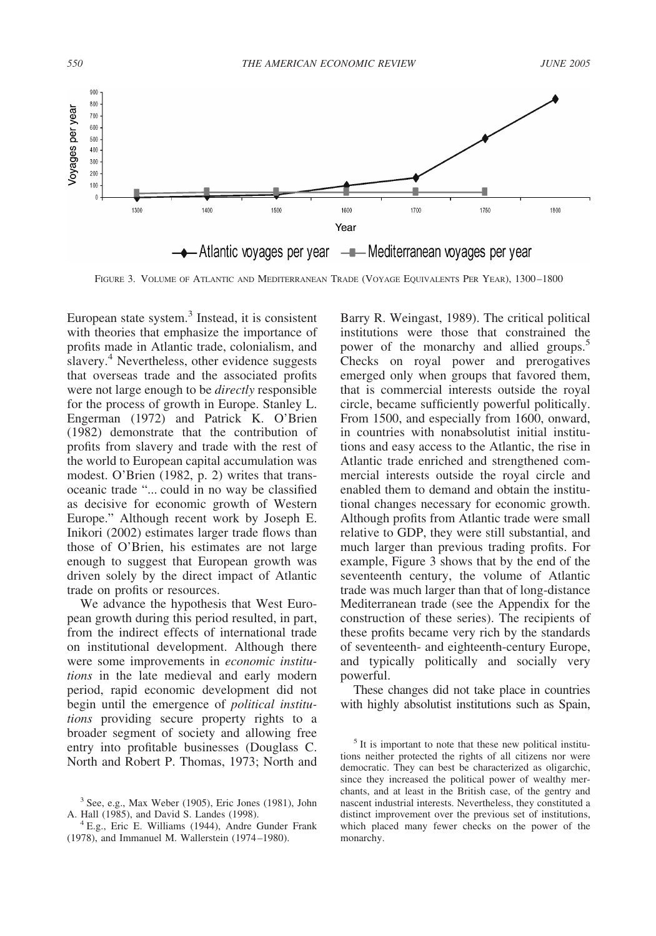

FIGURE 3. VOLUME OF ATLANTIC AND MEDITERRANEAN TRADE (VOYAGE EQUIVALENTS PER YEAR), 1300–1800

European state system.3 Instead, it is consistent with theories that emphasize the importance of profits made in Atlantic trade, colonialism, and slavery.<sup>4</sup> Nevertheless, other evidence suggests that overseas trade and the associated profits were not large enough to be *directly* responsible for the process of growth in Europe. Stanley L. Engerman (1972) and Patrick K. O'Brien (1982) demonstrate that the contribution of profits from slavery and trade with the rest of the world to European capital accumulation was modest. O'Brien (1982, p. 2) writes that transoceanic trade "... could in no way be classified as decisive for economic growth of Western Europe." Although recent work by Joseph E. Inikori (2002) estimates larger trade flows than those of O'Brien, his estimates are not large enough to suggest that European growth was driven solely by the direct impact of Atlantic trade on profits or resources.

We advance the hypothesis that West European growth during this period resulted, in part, from the indirect effects of international trade on institutional development. Although there were some improvements in *economic institutions* in the late medieval and early modern period, rapid economic development did not begin until the emergence of *political institutions* providing secure property rights to a broader segment of society and allowing free entry into profitable businesses (Douglass C. North and Robert P. Thomas, 1973; North and

Barry R. Weingast, 1989). The critical political institutions were those that constrained the power of the monarchy and allied groups.<sup>5</sup> Checks on royal power and prerogatives emerged only when groups that favored them, that is commercial interests outside the royal circle, became sufficiently powerful politically. From 1500, and especially from 1600, onward, in countries with nonabsolutist initial institutions and easy access to the Atlantic, the rise in Atlantic trade enriched and strengthened commercial interests outside the royal circle and enabled them to demand and obtain the institutional changes necessary for economic growth. Although profits from Atlantic trade were small relative to GDP, they were still substantial, and much larger than previous trading profits. For example, Figure 3 shows that by the end of the seventeenth century, the volume of Atlantic trade was much larger than that of long-distance Mediterranean trade (see the Appendix for the construction of these series). The recipients of these profits became very rich by the standards of seventeenth- and eighteenth-century Europe, and typically politically and socially very powerful.

These changes did not take place in countries with highly absolutist institutions such as Spain,

 $3$  See, e.g., Max Weber (1905), Eric Jones (1981), John A. Hall (1985), and David S. Landes (1998).

 $4$  E.g., Eric E. Williams (1944), Andre Gunder Frank (1978), and Immanuel M. Wallerstein (1974–1980).

<sup>&</sup>lt;sup>5</sup> It is important to note that these new political institutions neither protected the rights of all citizens nor were democratic. They can best be characterized as oligarchic, since they increased the political power of wealthy merchants, and at least in the British case, of the gentry and nascent industrial interests. Nevertheless, they constituted a distinct improvement over the previous set of institutions, which placed many fewer checks on the power of the monarchy.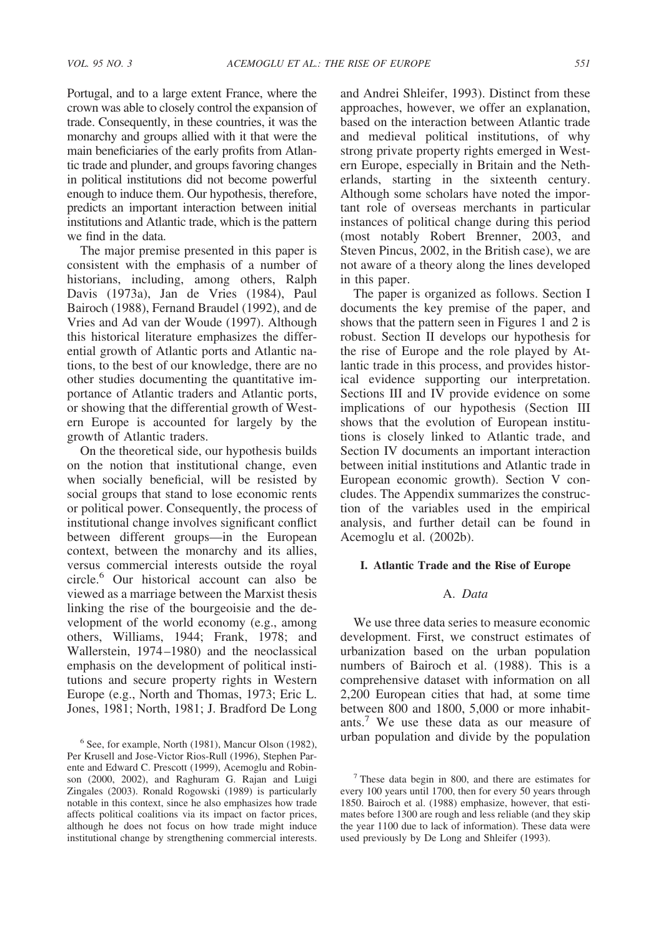Portugal, and to a large extent France, where the crown was able to closely control the expansion of trade. Consequently, in these countries, it was the monarchy and groups allied with it that were the main beneficiaries of the early profits from Atlantic trade and plunder, and groups favoring changes in political institutions did not become powerful enough to induce them. Our hypothesis, therefore, predicts an important interaction between initial institutions and Atlantic trade, which is the pattern we find in the data.

The major premise presented in this paper is consistent with the emphasis of a number of historians, including, among others, Ralph Davis (1973a), Jan de Vries (1984), Paul Bairoch (1988), Fernand Braudel (1992), and de Vries and Ad van der Woude (1997). Although this historical literature emphasizes the differential growth of Atlantic ports and Atlantic nations, to the best of our knowledge, there are no other studies documenting the quantitative importance of Atlantic traders and Atlantic ports, or showing that the differential growth of Western Europe is accounted for largely by the growth of Atlantic traders.

On the theoretical side, our hypothesis builds on the notion that institutional change, even when socially beneficial, will be resisted by social groups that stand to lose economic rents or political power. Consequently, the process of institutional change involves significant conflict between different groups—in the European context, between the monarchy and its allies, versus commercial interests outside the royal circle.6 Our historical account can also be viewed as a marriage between the Marxist thesis linking the rise of the bourgeoisie and the development of the world economy (e.g., among others, Williams, 1944; Frank, 1978; and Wallerstein, 1974–1980) and the neoclassical emphasis on the development of political institutions and secure property rights in Western Europe (e.g., North and Thomas, 1973; Eric L. Jones, 1981; North, 1981; J. Bradford De Long and Andrei Shleifer, 1993). Distinct from these approaches, however, we offer an explanation, based on the interaction between Atlantic trade and medieval political institutions, of why strong private property rights emerged in Western Europe, especially in Britain and the Netherlands, starting in the sixteenth century. Although some scholars have noted the important role of overseas merchants in particular instances of political change during this period (most notably Robert Brenner, 2003, and Steven Pincus, 2002, in the British case), we are not aware of a theory along the lines developed in this paper.

The paper is organized as follows. Section I documents the key premise of the paper, and shows that the pattern seen in Figures 1 and 2 is robust. Section II develops our hypothesis for the rise of Europe and the role played by Atlantic trade in this process, and provides historical evidence supporting our interpretation. Sections III and IV provide evidence on some implications of our hypothesis (Section III shows that the evolution of European institutions is closely linked to Atlantic trade, and Section IV documents an important interaction between initial institutions and Atlantic trade in European economic growth). Section V concludes. The Appendix summarizes the construction of the variables used in the empirical analysis, and further detail can be found in Acemoglu et al. (2002b).

## **I. Atlantic Trade and the Rise of Europe**

# A. *Data*

We use three data series to measure economic development. First, we construct estimates of urbanization based on the urban population numbers of Bairoch et al. (1988). This is a comprehensive dataset with information on all 2,200 European cities that had, at some time between 800 and 1800, 5,000 or more inhabitants.7 We use these data as our measure of  $6$  See, for example, North (1981), Mancur Olson (1982), urban population and divide by the population

Per Krusell and Jose-Victor Rios-Rull (1996), Stephen Parente and Edward C. Prescott (1999), Acemoglu and Robinson (2000, 2002), and Raghuram G. Rajan and Luigi Zingales (2003). Ronald Rogowski (1989) is particularly notable in this context, since he also emphasizes how trade affects political coalitions via its impact on factor prices, although he does not focus on how trade might induce institutional change by strengthening commercial interests.

 $<sup>7</sup>$  These data begin in 800, and there are estimates for</sup> every 100 years until 1700, then for every 50 years through 1850. Bairoch et al. (1988) emphasize, however, that estimates before 1300 are rough and less reliable (and they skip the year 1100 due to lack of information). These data were used previously by De Long and Shleifer (1993).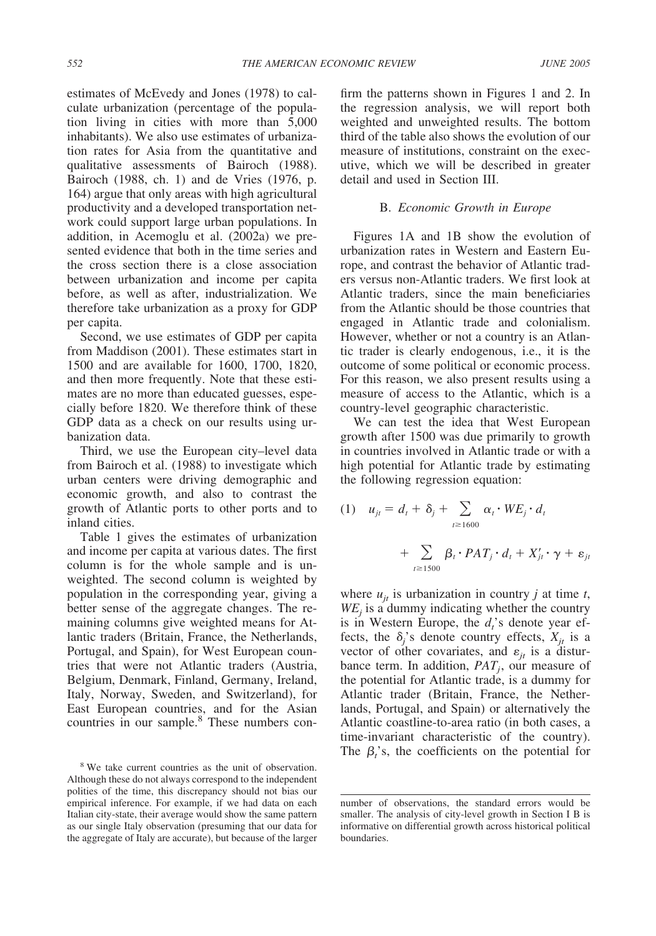estimates of McEvedy and Jones (1978) to calculate urbanization (percentage of the population living in cities with more than 5,000 inhabitants). We also use estimates of urbanization rates for Asia from the quantitative and qualitative assessments of Bairoch (1988). Bairoch (1988, ch. 1) and de Vries (1976, p. 164) argue that only areas with high agricultural productivity and a developed transportation network could support large urban populations. In addition, in Acemoglu et al. (2002a) we presented evidence that both in the time series and the cross section there is a close association between urbanization and income per capita before, as well as after, industrialization. We therefore take urbanization as a proxy for GDP per capita.

Second, we use estimates of GDP per capita from Maddison (2001). These estimates start in 1500 and are available for 1600, 1700, 1820, and then more frequently. Note that these estimates are no more than educated guesses, especially before 1820. We therefore think of these GDP data as a check on our results using urbanization data.

Third, we use the European city–level data from Bairoch et al. (1988) to investigate which urban centers were driving demographic and economic growth, and also to contrast the growth of Atlantic ports to other ports and to inland cities.

Table 1 gives the estimates of urbanization and income per capita at various dates. The first column is for the whole sample and is unweighted. The second column is weighted by population in the corresponding year, giving a better sense of the aggregate changes. The remaining columns give weighted means for Atlantic traders (Britain, France, the Netherlands, Portugal, and Spain), for West European countries that were not Atlantic traders (Austria, Belgium, Denmark, Finland, Germany, Ireland, Italy, Norway, Sweden, and Switzerland), for East European countries, and for the Asian countries in our sample.<sup>8</sup> These numbers confirm the patterns shown in Figures 1 and 2. In the regression analysis, we will report both weighted and unweighted results. The bottom third of the table also shows the evolution of our measure of institutions, constraint on the executive, which we will be described in greater detail and used in Section III.

## B. *Economic Growth in Europe*

Figures 1A and 1B show the evolution of urbanization rates in Western and Eastern Europe, and contrast the behavior of Atlantic traders versus non-Atlantic traders. We first look at Atlantic traders, since the main beneficiaries from the Atlantic should be those countries that engaged in Atlantic trade and colonialism. However, whether or not a country is an Atlantic trader is clearly endogenous, i.e., it is the outcome of some political or economic process. For this reason, we also present results using a measure of access to the Atlantic, which is a country-level geographic characteristic.

We can test the idea that West European growth after 1500 was due primarily to growth in countries involved in Atlantic trade or with a high potential for Atlantic trade by estimating the following regression equation:

(1) 
$$
u_{jt} = d_t + \delta_j + \sum_{t \ge 1600} \alpha_t \cdot WE_j \cdot d_t
$$
  
+  $\sum_{t \ge 1500} \beta_t \cdot PAT_j \cdot d_t + X'_{jt} \cdot \gamma + \varepsilon_{jt}$ 

where  $u_{it}$  is urbanization in country *j* at time *t*,  $WE_i$  is a dummy indicating whether the country is in Western Europe, the  $d_i$ 's denote year effects, the  $\delta_j$ 's denote country effects,  $X_{jt}$  is a vector of other covariates, and  $\varepsilon_{jt}$  is a disturbance term. In addition,  $PAT_i$ , our measure of the potential for Atlantic trade, is a dummy for Atlantic trader (Britain, France, the Netherlands, Portugal, and Spain) or alternatively the Atlantic coastline-to-area ratio (in both cases, a time-invariant characteristic of the country). The  $\beta_t$ 's, the coefficients on the potential for

<sup>&</sup>lt;sup>8</sup> We take current countries as the unit of observation. Although these do not always correspond to the independent polities of the time, this discrepancy should not bias our empirical inference. For example, if we had data on each Italian city-state, their average would show the same pattern as our single Italy observation (presuming that our data for the aggregate of Italy are accurate), but because of the larger

number of observations, the standard errors would be smaller. The analysis of city-level growth in Section I B is informative on differential growth across historical political boundaries.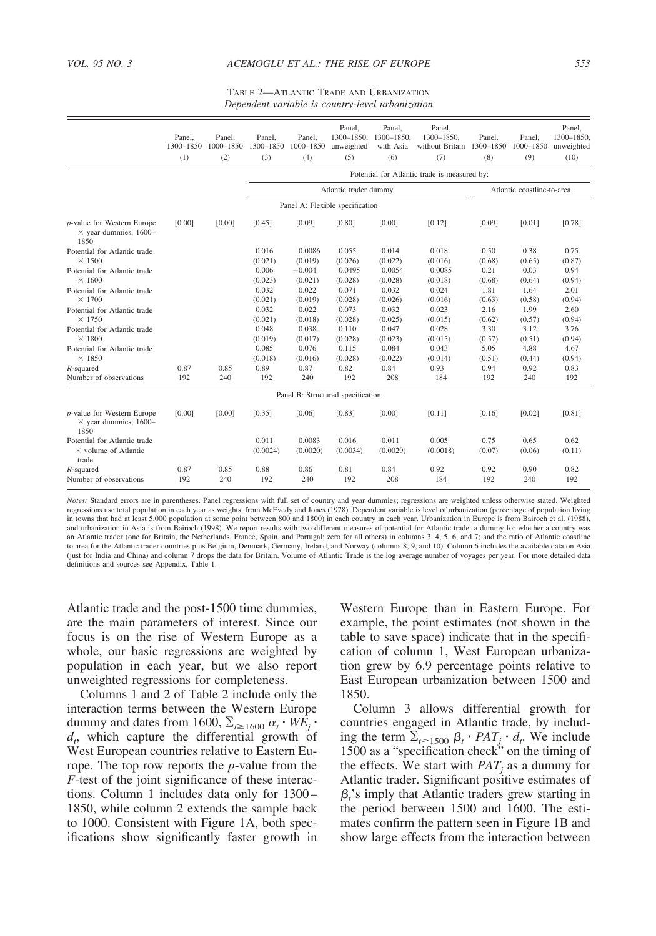TABLE 2—ATLANTIC TRADE AND URBANIZATION *Dependent variable is country-level urbanization*

|                                                                            | Panel,<br>1300-1850<br>(1) | Panel,<br>(2) | Panel.<br>1000-1850 1300-1850<br>(3) | Panel.<br>1000-1850<br>(4) | Panel.<br>$1300 - 1850.$<br>unweighted<br>(5) | Panel.<br>1300-1850.<br>with Asia<br>(6) | Panel.<br>1300-1850.<br>without Britain 1300-1850<br>(7) | Panel.<br>(8)  | Panel.<br>1000-1850<br>(9) | Panel.<br>1300-1850.<br>unweighted<br>(10) |
|----------------------------------------------------------------------------|----------------------------|---------------|--------------------------------------|----------------------------|-----------------------------------------------|------------------------------------------|----------------------------------------------------------|----------------|----------------------------|--------------------------------------------|
|                                                                            |                            |               |                                      |                            |                                               |                                          | Potential for Atlantic trade is measured by:             |                |                            |                                            |
|                                                                            |                            |               |                                      |                            | Atlantic trader dummy                         |                                          |                                                          |                | Atlantic coastline-to-area |                                            |
|                                                                            |                            |               |                                      |                            | Panel A: Flexible specification               |                                          |                                                          |                |                            |                                            |
| <i>p</i> -value for Western Europe<br>$\times$ year dummies, 1600-<br>1850 | [0.00]                     | [0.00]        | [0.45]                               | [0.09]                     | [0.80]                                        | [0.00]                                   | [0.12]                                                   | [0.09]         | [0.01]                     | [0.78]                                     |
| Potential for Atlantic trade                                               |                            |               | 0.016                                | 0.0086                     | 0.055                                         | 0.014                                    | 0.018                                                    | 0.50           | 0.38                       | 0.75                                       |
| $\times$ 1500                                                              |                            |               | (0.021)                              | (0.019)                    | (0.026)                                       | (0.022)                                  | (0.016)                                                  | (0.68)         | (0.65)                     | (0.87)                                     |
| Potential for Atlantic trade<br>$\times$ 1600                              |                            |               | 0.006                                | $-0.004$                   | 0.0495                                        | 0.0054                                   | 0.0085                                                   | 0.21           | 0.03                       | 0.94                                       |
| Potential for Atlantic trade                                               |                            |               | (0.023)<br>0.032                     | (0.021)<br>0.022           | (0.028)<br>0.071                              | (0.028)<br>0.032                         | (0.018)<br>0.024                                         | (0.68)<br>1.81 | (0.64)<br>1.64             | (0.94)<br>2.01                             |
| $\times$ 1700                                                              |                            |               | (0.021)                              | (0.019)                    | (0.028)                                       | (0.026)                                  | (0.016)                                                  | (0.63)         | (0.58)                     | (0.94)                                     |
| Potential for Atlantic trade                                               |                            |               | 0.032                                | 0.022                      | 0.073                                         | 0.032                                    | 0.023                                                    | 2.16           | 1.99                       | 2.60                                       |
| $\times$ 1750                                                              |                            |               | (0.021)                              | (0.018)                    | (0.028)                                       | (0.025)                                  | (0.015)                                                  | (0.62)         | (0.57)                     | (0.94)                                     |
| Potential for Atlantic trade                                               |                            |               | 0.048                                | 0.038                      | 0.110                                         | 0.047                                    | 0.028                                                    | 3.30           | 3.12                       | 3.76                                       |
| $\times$ 1800                                                              |                            |               | (0.019)                              | (0.017)                    | (0.028)                                       | (0.023)                                  | (0.015)                                                  | (0.57)         | (0.51)                     | (0.94)                                     |
| Potential for Atlantic trade                                               |                            |               | 0.085                                | 0.076                      | 0.115                                         | 0.084                                    | 0.043                                                    | 5.05           | 4.88                       | 4.67                                       |
| $\times$ 1850                                                              |                            |               | (0.018)                              | (0.016)                    | (0.028)                                       | (0.022)                                  | (0.014)                                                  | (0.51)         | (0.44)                     | (0.94)                                     |
| $R$ -squared                                                               | 0.87                       | 0.85          | 0.89                                 | 0.87                       | 0.82                                          | 0.84                                     | 0.93                                                     | 0.94           | 0.92                       | 0.83                                       |
| Number of observations                                                     | 192                        | 240           | 192                                  | 240                        | 192                                           | 208                                      | 184                                                      | 192            | 240                        | 192                                        |
|                                                                            |                            |               |                                      |                            | Panel B: Structured specification             |                                          |                                                          |                |                            |                                            |
| $p$ -value for Western Europe<br>$\times$ year dummies, 1600-<br>1850      | [0.00]                     | [0.00]        | [0.35]                               | [0.06]                     | [0.83]                                        | [0.00]                                   | [0.11]                                                   | [0.16]         | [0.02]                     | [0.81]                                     |
| Potential for Atlantic trade                                               |                            |               | 0.011                                | 0.0083                     | 0.016                                         | 0.011                                    | 0.005                                                    | 0.75           | 0.65                       | 0.62                                       |
| $\times$ volume of Atlantic<br>trade                                       |                            |               | (0.0024)                             | (0.0020)                   | (0.0034)                                      | (0.0029)                                 | (0.0018)                                                 | (0.07)         | (0.06)                     | (0.11)                                     |
| $R$ -squared                                                               | 0.87                       | 0.85          | 0.88                                 | 0.86                       | 0.81                                          | 0.84                                     | 0.92                                                     | 0.92           | 0.90                       | 0.82                                       |
| Number of observations                                                     | 192                        | 240           | 192                                  | 240                        | 192                                           | 208                                      | 184                                                      | 192            | 240                        | 192                                        |

*Notes:* Standard errors are in parentheses. Panel regressions with full set of country and year dummies; regressions are weighted unless otherwise stated. Weighted regressions use total population in each year as weights, from McEvedy and Jones (1978). Dependent variable is level of urbanization (percentage of population living in towns that had at least 5,000 population at some point between 800 and 1800) in each country in each year. Urbanization in Europe is from Bairoch et al. (1988),<br>and urbanization in Asia is from Bairoch (1998). We report an Atlantic trader (one for Britain, the Netherlands, France, Spain, and Portugal; zero for all others) in columns 3, 4, 5, 6, and 7; and the ratio of Atlantic coastline to area for the Atlantic trader countries plus Belgium, Denmark, Germany, Ireland, and Norway (columns 8, 9, and 10). Column 6 includes the available data on Asia (just for India and China) and column 7 drops the data for Britain. Volume of Atlantic Trade is the log average number of voyages per year. For more detailed data definitions and sources see Appendix, Table 1.

Atlantic trade and the post-1500 time dummies, are the main parameters of interest. Since our focus is on the rise of Western Europe as a whole, our basic regressions are weighted by population in each year, but we also report unweighted regressions for completeness.

Columns 1 and 2 of Table 2 include only the interaction terms between the Western Europe dummy and dates from 1600,  $\Sigma_{t \ge 1600} \alpha_t \cdot W E_i \cdot$ *dt* , which capture the differential growth of West European countries relative to Eastern Europe. The top row reports the *p*-value from the *F*-test of the joint significance of these interactions. Column 1 includes data only for 1300– 1850, while column 2 extends the sample back to 1000. Consistent with Figure 1A, both specifications show significantly faster growth in Western Europe than in Eastern Europe. For example, the point estimates (not shown in the table to save space) indicate that in the specification of column 1, West European urbanization grew by 6.9 percentage points relative to East European urbanization between 1500 and 1850.

Column 3 allows differential growth for countries engaged in Atlantic trade, by including the term  $\sum_{t \ge 1500} \beta_t \cdot PAT_j \cdot d_t$ . We include 1500 as a "specification check" on the timing of the effects. We start with  $PAT_i$  as a dummy for Atlantic trader. Significant positive estimates of  $\beta_t$ 's imply that Atlantic traders grew starting in the period between 1500 and 1600. The estimates confirm the pattern seen in Figure 1B and show large effects from the interaction between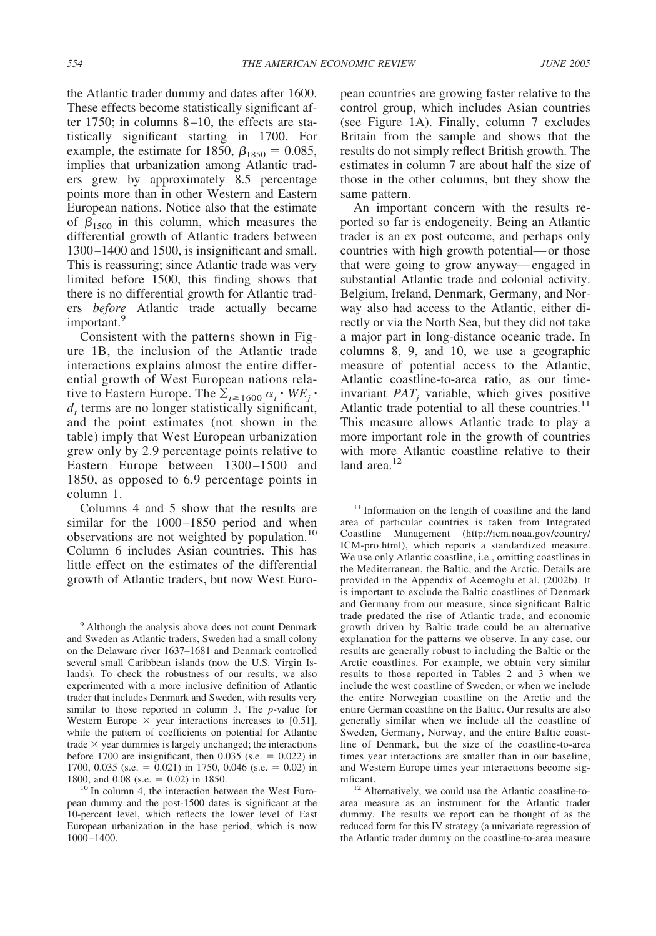the Atlantic trader dummy and dates after 1600. These effects become statistically significant after 1750; in columns 8–10, the effects are statistically significant starting in 1700. For example, the estimate for 1850,  $\beta_{1850} = 0.085$ , implies that urbanization among Atlantic traders grew by approximately 8.5 percentage points more than in other Western and Eastern European nations. Notice also that the estimate of  $\beta_{1500}$  in this column, which measures the differential growth of Atlantic traders between 1300–1400 and 1500, is insignificant and small. This is reassuring; since Atlantic trade was very limited before 1500, this finding shows that there is no differential growth for Atlantic traders *before* Atlantic trade actually became important.<sup>9</sup>

Consistent with the patterns shown in Figure 1B, the inclusion of the Atlantic trade interactions explains almost the entire differential growth of West European nations relative to Eastern Europe. The  $\Sigma_{t \ge 1600} \alpha_t \cdot W E_j \cdot$  $d_t$  terms are no longer statistically significant, and the point estimates (not shown in the table) imply that West European urbanization grew only by 2.9 percentage points relative to Eastern Europe between 1300–1500 and 1850, as opposed to 6.9 percentage points in column 1.

Columns 4 and 5 show that the results are similar for the 1000–1850 period and when observations are not weighted by population.<sup>10</sup> Column 6 includes Asian countries. This has little effect on the estimates of the differential growth of Atlantic traders, but now West European countries are growing faster relative to the control group, which includes Asian countries (see Figure 1A). Finally, column 7 excludes Britain from the sample and shows that the results do not simply reflect British growth. The estimates in column 7 are about half the size of those in the other columns, but they show the same pattern.

An important concern with the results reported so far is endogeneity. Being an Atlantic trader is an ex post outcome, and perhaps only countries with high growth potential—or those that were going to grow anyway—engaged in substantial Atlantic trade and colonial activity. Belgium, Ireland, Denmark, Germany, and Norway also had access to the Atlantic, either directly or via the North Sea, but they did not take a major part in long-distance oceanic trade. In columns 8, 9, and 10, we use a geographic measure of potential access to the Atlantic, Atlantic coastline-to-area ratio, as our timeinvariant  $PAT_j$  variable, which gives positive Atlantic trade potential to all these countries.<sup>11</sup> This measure allows Atlantic trade to play a more important role in the growth of countries with more Atlantic coastline relative to their land area.<sup>12</sup>

<sup>11</sup> Information on the length of coastline and the land area of particular countries is taken from Integrated Coastline Management (http://icm.noaa.gov/country/ ICM-pro.html), which reports a standardized measure. We use only Atlantic coastline, i.e., omitting coastlines in the Mediterranean, the Baltic, and the Arctic. Details are provided in the Appendix of Acemoglu et al. (2002b). It is important to exclude the Baltic coastlines of Denmark and Germany from our measure, since significant Baltic trade predated the rise of Atlantic trade, and economic growth driven by Baltic trade could be an alternative explanation for the patterns we observe. In any case, our results are generally robust to including the Baltic or the Arctic coastlines. For example, we obtain very similar results to those reported in Tables 2 and 3 when we include the west coastline of Sweden, or when we include the entire Norwegian coastline on the Arctic and the entire German coastline on the Baltic. Our results are also generally similar when we include all the coastline of Sweden, Germany, Norway, and the entire Baltic coastline of Denmark, but the size of the coastline-to-area times year interactions are smaller than in our baseline, and Western Europe times year interactions become significant.<br><sup>12</sup> Alternatively, we could use the Atlantic coastline-to-

<sup>9</sup> Although the analysis above does not count Denmark and Sweden as Atlantic traders, Sweden had a small colony on the Delaware river 1637–1681 and Denmark controlled several small Caribbean islands (now the U.S. Virgin Islands). To check the robustness of our results, we also experimented with a more inclusive definition of Atlantic trader that includes Denmark and Sweden, with results very similar to those reported in column 3. The *p*-value for Western Europe  $\times$  year interactions increases to [0.51], while the pattern of coefficients on potential for Atlantic trade  $\times$  year dummies is largely unchanged; the interactions before 1700 are insignificant, then  $0.035$  (s.e.  $= 0.022$ ) in 1700, 0.035 (s.e.  $= 0.021$ ) in 1750, 0.046 (s.e.  $= 0.02$ ) in

<sup>1800,</sup> and 0.08 (s.e.  $= 0.02$ ) in 1850.<br><sup>10</sup> In column 4, the interaction between the West European dummy and the post-1500 dates is significant at the 10-percent level, which reflects the lower level of East European urbanization in the base period, which is now 1000–1400.

area measure as an instrument for the Atlantic trader dummy. The results we report can be thought of as the reduced form for this IV strategy (a univariate regression of the Atlantic trader dummy on the coastline-to-area measure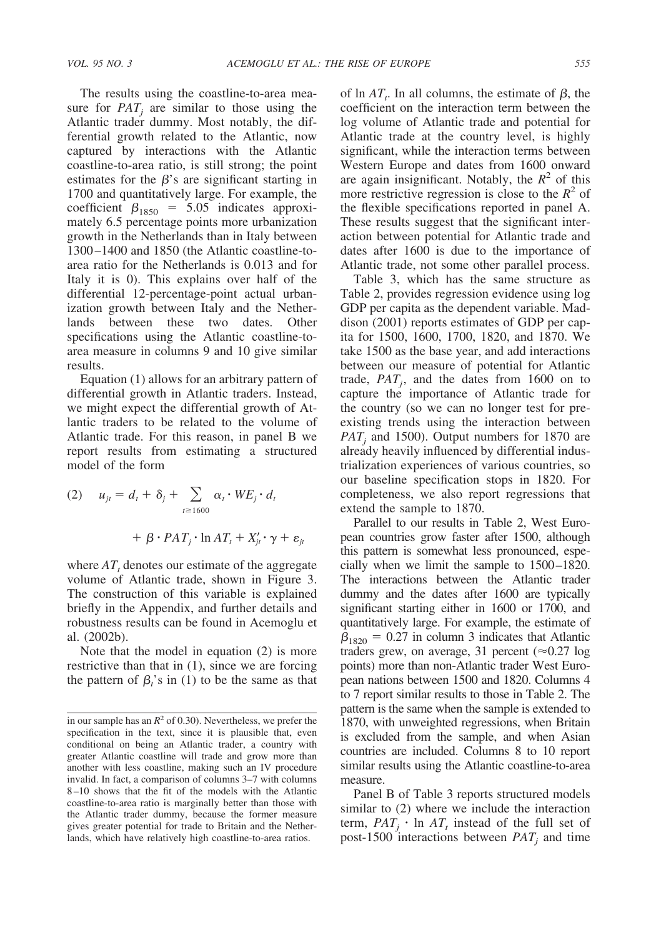The results using the coastline-to-area measure for  $PAT_i$  are similar to those using the Atlantic trader dummy. Most notably, the differential growth related to the Atlantic, now captured by interactions with the Atlantic coastline-to-area ratio, is still strong; the point estimates for the  $\beta$ 's are significant starting in 1700 and quantitatively large. For example, the coefficient  $\beta_{1850} = 5.05$  indicates approximately 6.5 percentage points more urbanization growth in the Netherlands than in Italy between 1300–1400 and 1850 (the Atlantic coastline-toarea ratio for the Netherlands is 0.013 and for Italy it is 0). This explains over half of the differential 12-percentage-point actual urbanization growth between Italy and the Netherlands between these two dates. Other specifications using the Atlantic coastline-toarea measure in columns 9 and 10 give similar results.

Equation (1) allows for an arbitrary pattern of differential growth in Atlantic traders. Instead, we might expect the differential growth of Atlantic traders to be related to the volume of Atlantic trade. For this reason, in panel B we report results from estimating a structured model of the form

(2) 
$$
u_{jt} = d_t + \delta_j + \sum_{t \ge 1600} \alpha_t \cdot WE_j \cdot d_t
$$
  
+  $\beta \cdot PAT_j \cdot \ln AT_t + X'_{jt} \cdot \gamma + \varepsilon_{jt}$ 

where  $AT<sub>t</sub>$  denotes our estimate of the aggregate volume of Atlantic trade, shown in Figure 3. The construction of this variable is explained briefly in the Appendix, and further details and robustness results can be found in Acemoglu et al. (2002b).

Note that the model in equation (2) is more restrictive than that in (1), since we are forcing the pattern of  $\beta_t$ 's in (1) to be the same as that

of  $\ln AT_t$ . In all columns, the estimate of  $\beta$ , the coefficient on the interaction term between the log volume of Atlantic trade and potential for Atlantic trade at the country level, is highly significant, while the interaction terms between Western Europe and dates from 1600 onward are again insignificant. Notably, the  $R^2$  of this more restrictive regression is close to the  $R^2$  of the flexible specifications reported in panel A. These results suggest that the significant interaction between potential for Atlantic trade and dates after 1600 is due to the importance of Atlantic trade, not some other parallel process.

Table 3, which has the same structure as Table 2, provides regression evidence using log GDP per capita as the dependent variable. Maddison (2001) reports estimates of GDP per capita for 1500, 1600, 1700, 1820, and 1870. We take 1500 as the base year, and add interactions between our measure of potential for Atlantic trade,  $PAT_j$ , and the dates from 1600 on to capture the importance of Atlantic trade for the country (so we can no longer test for preexisting trends using the interaction between  $PAT_i$  and 1500). Output numbers for 1870 are already heavily influenced by differential industrialization experiences of various countries, so our baseline specification stops in 1820. For completeness, we also report regressions that extend the sample to 1870.

Parallel to our results in Table 2, West European countries grow faster after 1500, although this pattern is somewhat less pronounced, especially when we limit the sample to 1500–1820. The interactions between the Atlantic trader dummy and the dates after 1600 are typically significant starting either in 1600 or 1700, and quantitatively large. For example, the estimate of  $\beta_{1820} = 0.27$  in column 3 indicates that Atlantic traders grew, on average, 31 percent ( $\approx 0.27$  log points) more than non-Atlantic trader West European nations between 1500 and 1820. Columns 4 to 7 report similar results to those in Table 2. The pattern is the same when the sample is extended to 1870, with unweighted regressions, when Britain is excluded from the sample, and when Asian countries are included. Columns 8 to 10 report similar results using the Atlantic coastline-to-area measure.

Panel B of Table 3 reports structured models similar to (2) where we include the interaction term,  $PAT_j \cdot \ln AT_t$  instead of the full set of post-1500 interactions between  $PAT_i$  and time

in our sample has an  $R^2$  of 0.30). Nevertheless, we prefer the specification in the text, since it is plausible that, even conditional on being an Atlantic trader, a country with greater Atlantic coastline will trade and grow more than another with less coastline, making such an IV procedure invalid. In fact, a comparison of columns 3–7 with columns 8–10 shows that the fit of the models with the Atlantic coastline-to-area ratio is marginally better than those with the Atlantic trader dummy, because the former measure gives greater potential for trade to Britain and the Netherlands, which have relatively high coastline-to-area ratios.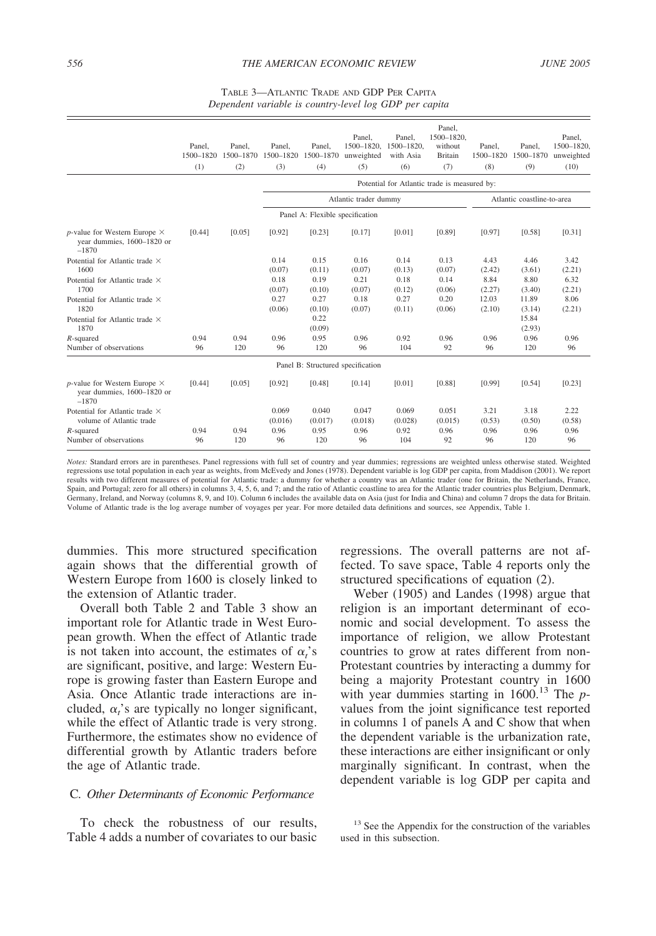| TABLE 3-ATLANTIC TRADE AND GDP PER CAPITA              |  |
|--------------------------------------------------------|--|
| Dependent variable is country-level log GDP per capita |  |

|                                                                                 | Panel.<br>1500-1820<br>(1) | Panel.<br>1500-1870<br>(2) | Panel.<br>1500-1820<br>(3) | Panel.<br>1500-1870<br>(4)        | Panel,<br>1500-1820.<br>unweighted<br>(5) | Panel.<br>1500-1820.<br>with Asia<br>(6)     | Panel.<br>1500-1820.<br>without<br><b>Britain</b><br>(7) | Panel.<br>1500-1820<br>(8) | Panel.<br>1500-1870<br>(9) | Panel.<br>1500-1820.<br>unweighted<br>(10) |
|---------------------------------------------------------------------------------|----------------------------|----------------------------|----------------------------|-----------------------------------|-------------------------------------------|----------------------------------------------|----------------------------------------------------------|----------------------------|----------------------------|--------------------------------------------|
|                                                                                 |                            |                            |                            |                                   |                                           | Potential for Atlantic trade is measured by: |                                                          |                            |                            |                                            |
|                                                                                 |                            |                            |                            |                                   | Atlantic trader dummy                     |                                              |                                                          |                            | Atlantic coastline-to-area |                                            |
|                                                                                 |                            |                            |                            | Panel A: Flexible specification   |                                           |                                              |                                                          |                            |                            |                                            |
| $p$ -value for Western Europe $\times$<br>year dummies, 1600-1820 or<br>$-1870$ | [0.44]                     | [0.05]                     | [0.92]                     | [0.23]                            | [0.17]                                    | [0.01]                                       | [0.89]                                                   | [0.97]                     | [0.58]                     | [0.31]                                     |
| Potential for Atlantic trade $\times$<br>1600                                   |                            |                            | 0.14<br>(0.07)             | 0.15<br>(0.11)                    | 0.16<br>(0.07)                            | 0.14<br>(0.13)                               | 0.13<br>(0.07)                                           | 4.43<br>(2.42)             | 4.46<br>(3.61)             | 3.42<br>(2.21)                             |
| Potential for Atlantic trade ×<br>1700                                          |                            |                            | 0.18<br>(0.07)             | 0.19<br>(0.10)                    | 0.21<br>(0.07)                            | 0.18<br>(0.12)                               | 0.14<br>(0.06)                                           | 8.84<br>(2.27)             | 8.80<br>(3.40)             | 6.32<br>(2.21)                             |
| Potential for Atlantic trade $\times$<br>1820                                   |                            |                            | 0.27<br>(0.06)             | 0.27<br>(0.10)                    | 0.18<br>(0.07)                            | 0.27<br>(0.11)                               | 0.20<br>(0.06)                                           | 12.03<br>(2.10)            | 11.89<br>(3.14)            | 8.06<br>(2.21)                             |
| Potential for Atlantic trade $\times$<br>1870                                   |                            |                            |                            | 0.22<br>(0.09)                    |                                           |                                              |                                                          |                            | 15.84<br>(2.93)            |                                            |
| $R$ -squared<br>Number of observations                                          | 0.94<br>96                 | 0.94<br>120                | 0.96<br>96                 | 0.95<br>120                       | 0.96<br>96                                | 0.92<br>104                                  | 0.96<br>92                                               | 0.96<br>96                 | 0.96<br>120                | 0.96<br>96                                 |
|                                                                                 |                            |                            |                            | Panel B: Structured specification |                                           |                                              |                                                          |                            |                            |                                            |
| $p$ -value for Western Europe $\times$<br>year dummies, 1600-1820 or<br>$-1870$ | [0.44]                     | [0.05]                     | [0.92]                     | [0.48]                            | [0.14]                                    | [0.01]                                       | [0.88]                                                   | [0.99]                     | [0.54]                     | [0.23]                                     |
| Potential for Atlantic trade ×<br>volume of Atlantic trade                      |                            |                            | 0.069<br>(0.016)           | 0.040<br>(0.017)                  | 0.047<br>(0.018)                          | 0.069<br>(0.028)                             | 0.051<br>(0.015)                                         | 3.21<br>(0.53)             | 3.18<br>(0.50)             | 2.22<br>(0.58)                             |
| $R$ -squared<br>Number of observations                                          | 0.94<br>96                 | 0.94<br>120                | 0.96<br>96                 | 0.95<br>120                       | 0.96<br>96                                | 0.92<br>104                                  | 0.96<br>92                                               | 0.96<br>96                 | 0.96<br>120                | 0.96<br>96                                 |

*Notes:* Standard errors are in parentheses. Panel regressions with full set of country and year dummies; regressions are weighted unless otherwise stated. Weighted regressions use total population in each year as weights, from McEvedy and Jones (1978). Dependent variable is log GDP per capita, from Maddison (2001). We report results with two different measures of potential for Atlantic trade: a dummy for whether a country was an Atlantic trader (one for Britain, the Netherlands, France, Spain, and Portugal; zero for all others) in columns 3, 4, 5, 6, and 7; and the ratio of Atlantic coastline to area for the Atlantic trader countries plus Belgium, Denmark, Germany, Ireland, and Norway (columns 8, 9, and 10). Column 6 includes the available data on Asia (just for India and China) and column 7 drops the data for Britain. Volume of Atlantic trade is the log average number of voyages per year. For more detailed data definitions and sources, see Appendix, Table 1.

dummies. This more structured specification again shows that the differential growth of Western Europe from 1600 is closely linked to the extension of Atlantic trader.

Overall both Table 2 and Table 3 show an important role for Atlantic trade in West European growth. When the effect of Atlantic trade is not taken into account, the estimates of  $\alpha$ 's are significant, positive, and large: Western Europe is growing faster than Eastern Europe and Asia. Once Atlantic trade interactions are included,  $\alpha_i$ 's are typically no longer significant, while the effect of Atlantic trade is very strong. Furthermore, the estimates show no evidence of differential growth by Atlantic traders before the age of Atlantic trade.

## C. *Other Determinants of Economic Performance*

To check the robustness of our results, Table 4 adds a number of covariates to our basic

regressions. The overall patterns are not affected. To save space, Table 4 reports only the structured specifications of equation (2).

Weber (1905) and Landes (1998) argue that religion is an important determinant of economic and social development. To assess the importance of religion, we allow Protestant countries to grow at rates different from non-Protestant countries by interacting a dummy for being a majority Protestant country in 1600 with year dummies starting in 1600.<sup>13</sup> The *p*values from the joint significance test reported in columns 1 of panels A and C show that when the dependent variable is the urbanization rate, these interactions are either insignificant or only marginally significant. In contrast, when the dependent variable is log GDP per capita and

<sup>&</sup>lt;sup>13</sup> See the Appendix for the construction of the variables used in this subsection.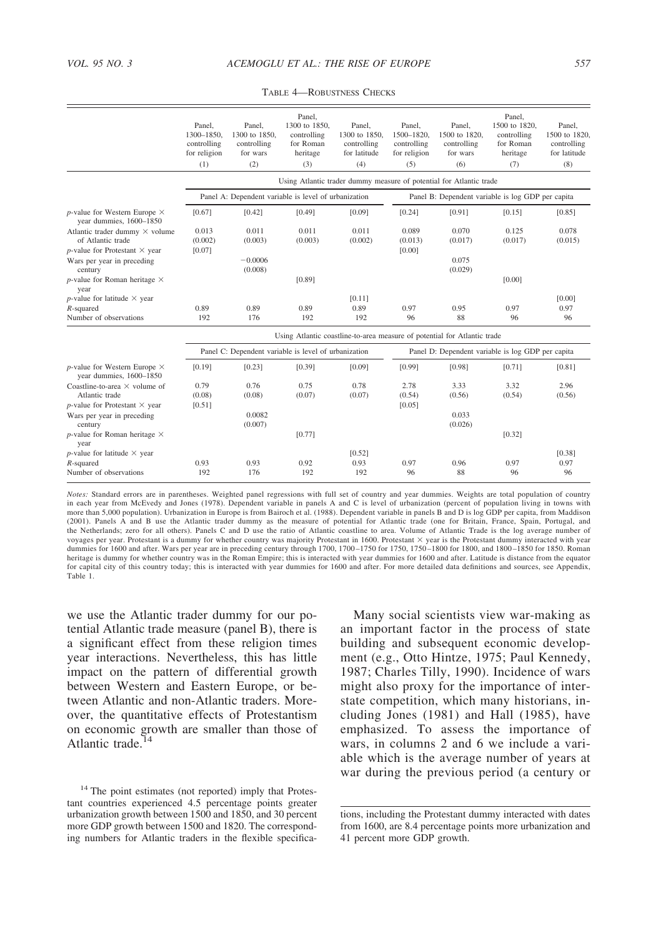|                                                                   | Panel.       | Panel.                                               | Panel.<br>1300 to 1850. | Panel.        | Panel.       | Panel.                                                                   | Panel.<br>1500 to 1820. | Panel.        |
|-------------------------------------------------------------------|--------------|------------------------------------------------------|-------------------------|---------------|--------------|--------------------------------------------------------------------------|-------------------------|---------------|
|                                                                   | 1300-1850.   | 1300 to 1850.                                        | controlling             | 1300 to 1850. | 1500-1820.   | 1500 to 1820.                                                            | controlling             | 1500 to 1820. |
|                                                                   | controlling  | controlling                                          | for Roman               | controlling   | controlling  | controlling                                                              | for Roman               | controlling   |
|                                                                   | for religion | for wars                                             | heritage                | for latitude  | for religion | for wars                                                                 | heritage                | for latitude  |
|                                                                   | (1)          | (2)                                                  | (3)                     | (4)           | (5)          | (6)                                                                      | (7)                     | (8)           |
|                                                                   |              |                                                      |                         |               |              | Using Atlantic trader dummy measure of potential for Atlantic trade      |                         |               |
|                                                                   |              | Panel A: Dependent variable is level of urbanization |                         |               |              | Panel B: Dependent variable is log GDP per capita                        |                         |               |
| $p$ -value for Western Europe $\times$<br>year dummies, 1600-1850 | [0.67]       | [0.42]                                               | [0.49]                  | [0.09]        | [0.24]       | [0.91]                                                                   | [0.15]                  | [0.85]        |
| Atlantic trader dummy $\times$ volume                             | 0.013        | 0.011                                                | 0.011                   | 0.011         | 0.089        | 0.070                                                                    | 0.125                   | 0.078         |
| of Atlantic trade                                                 | (0.002)      | (0.003)                                              | (0.003)                 | (0.002)       | (0.013)      | (0.017)                                                                  | (0.017)                 | (0.015)       |
| $p$ -value for Protestant $\times$ year                           | [0.07]       | $-0.0006$                                            |                         |               | [0.00]       | 0.075                                                                    |                         |               |
| Wars per year in preceding<br>century                             |              | (0.008)                                              |                         |               |              | (0.029)                                                                  |                         |               |
| $p$ -value for Roman heritage $\times$<br>year                    |              |                                                      | [0.89]                  |               |              |                                                                          | [0.00]                  |               |
| $p$ -value for latitude $\times$ year                             |              |                                                      |                         | [0.11]        |              |                                                                          |                         | [0.00]        |
| $R$ -squared                                                      | 0.89         | 0.89                                                 | 0.89                    | 0.89          | 0.97         | 0.95                                                                     | 0.97                    | 0.97          |
| Number of observations                                            | 192          | 176                                                  | 192                     | 192           | 96           | 88                                                                       | 96                      | 96            |
|                                                                   |              |                                                      |                         |               |              | Using Atlantic coastline-to-area measure of potential for Atlantic trade |                         |               |
|                                                                   |              | Panel C: Dependent variable is level of urbanization |                         |               |              | Panel D: Dependent variable is log GDP per capita                        |                         |               |
| $p$ -value for Western Europe $\times$<br>year dummies, 1600-1850 | [0.19]       | [0.23]                                               | [0.39]                  | [0.09]        | [0.99]       | [0.98]                                                                   | [0.71]                  | [0.81]        |
| Coastline-to-area $\times$ volume of                              | 0.79         | 0.76                                                 | 0.75                    | 0.78          | 2.78         | 3.33                                                                     | 3.32                    | 2.96          |
| Atlantic trade                                                    | (0.08)       | (0.08)                                               | (0.07)                  | (0.07)        | (0.54)       | (0.56)                                                                   | (0.54)                  | (0.56)        |
| $p$ -value for Protestant $\times$ year                           | [0.51]       |                                                      |                         |               | [0.05]       |                                                                          |                         |               |
| Wars per year in preceding                                        |              | 0.0082                                               |                         |               |              | 0.033                                                                    |                         |               |
| century                                                           |              | (0.007)                                              |                         |               |              | (0.026)                                                                  |                         |               |
| $p$ -value for Roman heritage $\times$<br>vear                    |              |                                                      | [0.77]                  |               |              |                                                                          | [0.32]                  |               |
| $p$ -value for latitude $\times$ year                             |              |                                                      |                         | [0.52]        |              |                                                                          |                         | [0.38]        |
| $R$ -squared                                                      | 0.93         | 0.93                                                 | 0.92                    | 0.93          | 0.97         | 0.96                                                                     | 0.97                    | 0.97          |
| Number of observations                                            | 192          | 176                                                  | 192                     | 192           | 96           | 88                                                                       | 96                      | 96            |
|                                                                   |              |                                                      |                         |               |              |                                                                          |                         |               |

TABLE 4—ROBUSTNESS CHECKS

Notes: Standard errors are in parentheses. Weighted panel regressions with full set of country and year dummies. Weights are total population of country<br>in each year from McEvedy and Jones (1978). Dependent variable in pan more than 5,000 population). Urbanization in Europe is from Bairoch et al. (1988). Dependent variable in panels B and D is log GDP per capita, from Maddison (2001). Panels A and B use the Atlantic trader dummy as the measure of potential for Atlantic trade (one for Britain, France, Spain, Portugal, and<br>the Netherlands; zero for all others). Panels C and D use the ratio of Atla voyages per year. Protestant is a dummy for whether country was majority Protestant in 1600. Protestant × year is the Protestant dummy interacted with year dummies for 1600 and after. Wars per year are in preceding century through 1700, 1700–1750 for 1750, 1750–1800 for 1800, and 1800–1850 for 1850. Roman heritage is dummy for whether country was in the Roman Empire; this is interacted with year dummies for 1600 and after. Latitude is distance from the equator for capital city of this country today; this is interacted with year dummies for 1600 and after. For more detailed data definitions and sources, see Appendix, Table 1.

we use the Atlantic trader dummy for our potential Atlantic trade measure (panel B), there is a significant effect from these religion times year interactions. Nevertheless, this has little impact on the pattern of differential growth between Western and Eastern Europe, or between Atlantic and non-Atlantic traders. Moreover, the quantitative effects of Protestantism on economic growth are smaller than those of Atlantic trade.<sup>14</sup>

Many social scientists view war-making as an important factor in the process of state building and subsequent economic development (e.g., Otto Hintze, 1975; Paul Kennedy, 1987; Charles Tilly, 1990). Incidence of wars might also proxy for the importance of interstate competition, which many historians, including Jones (1981) and Hall (1985), have emphasized. To assess the importance of wars, in columns 2 and 6 we include a variable which is the average number of years at war during the previous period (a century or

<sup>&</sup>lt;sup>14</sup> The point estimates (not reported) imply that Protestant countries experienced 4.5 percentage points greater urbanization growth between 1500 and 1850, and 30 percent more GDP growth between 1500 and 1820. The corresponding numbers for Atlantic traders in the flexible specifica-

tions, including the Protestant dummy interacted with dates from 1600, are 8.4 percentage points more urbanization and 41 percent more GDP growth.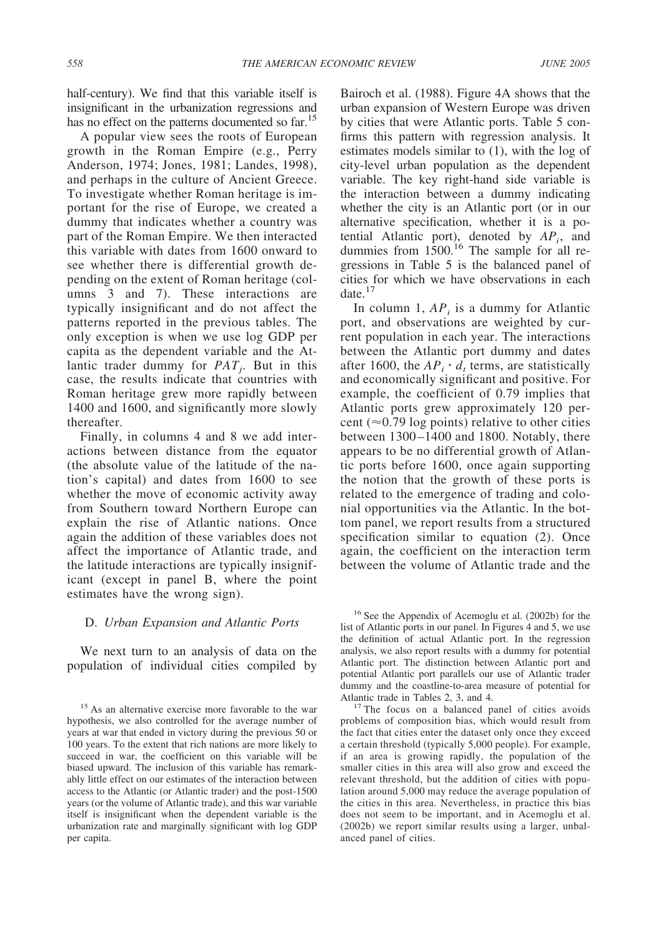half-century). We find that this variable itself is insignificant in the urbanization regressions and has no effect on the patterns documented so far.<sup>15</sup>

A popular view sees the roots of European growth in the Roman Empire (e.g., Perry Anderson, 1974; Jones, 1981; Landes, 1998), and perhaps in the culture of Ancient Greece. To investigate whether Roman heritage is important for the rise of Europe, we created a dummy that indicates whether a country was part of the Roman Empire. We then interacted this variable with dates from 1600 onward to see whether there is differential growth depending on the extent of Roman heritage (columns 3 and 7). These interactions are typically insignificant and do not affect the patterns reported in the previous tables. The only exception is when we use log GDP per capita as the dependent variable and the Atlantic trader dummy for *PATj* . But in this case, the results indicate that countries with Roman heritage grew more rapidly between 1400 and 1600, and significantly more slowly thereafter.

Finally, in columns 4 and 8 we add interactions between distance from the equator (the absolute value of the latitude of the nation's capital) and dates from 1600 to see whether the move of economic activity away from Southern toward Northern Europe can explain the rise of Atlantic nations. Once again the addition of these variables does not affect the importance of Atlantic trade, and the latitude interactions are typically insignificant (except in panel B, where the point estimates have the wrong sign).

## D. *Urban Expansion and Atlantic Ports*

We next turn to an analysis of data on the population of individual cities compiled by Bairoch et al. (1988). Figure 4A shows that the urban expansion of Western Europe was driven by cities that were Atlantic ports. Table 5 confirms this pattern with regression analysis. It estimates models similar to (1), with the log of city-level urban population as the dependent variable. The key right-hand side variable is the interaction between a dummy indicating whether the city is an Atlantic port (or in our alternative specification, whether it is a potential Atlantic port), denoted by *APi*, and dummies from 1500.<sup>16</sup> The sample for all regressions in Table 5 is the balanced panel of cities for which we have observations in each date.<sup>17</sup>

In column 1,  $AP_i$  is a dummy for Atlantic port, and observations are weighted by current population in each year. The interactions between the Atlantic port dummy and dates after 1600, the  $AP_i \cdot d_i$  terms, are statistically and economically significant and positive. For example, the coefficient of 0.79 implies that Atlantic ports grew approximately 120 percent ( $\approx$ 0.79 log points) relative to other cities between 1300–1400 and 1800. Notably, there appears to be no differential growth of Atlantic ports before 1600, once again supporting the notion that the growth of these ports is related to the emergence of trading and colonial opportunities via the Atlantic. In the bottom panel, we report results from a structured specification similar to equation (2). Once again, the coefficient on the interaction term between the volume of Atlantic trade and the

<sup>16</sup> See the Appendix of Acemoglu et al. (2002b) for the list of Atlantic ports in our panel. In Figures 4 and 5, we use the definition of actual Atlantic port. In the regression analysis, we also report results with a dummy for potential Atlantic port. The distinction between Atlantic port and potential Atlantic port parallels our use of Atlantic trader dummy and the coastline-to-area measure of potential for Atlantic trade in Tables 2, 3, and 4.<br><sup>17</sup> The focus on a balanced panel of cities avoids

problems of composition bias, which would result from the fact that cities enter the dataset only once they exceed a certain threshold (typically 5,000 people). For example, if an area is growing rapidly, the population of the smaller cities in this area will also grow and exceed the relevant threshold, but the addition of cities with population around 5,000 may reduce the average population of the cities in this area. Nevertheless, in practice this bias does not seem to be important, and in Acemoglu et al. (2002b) we report similar results using a larger, unbalanced panel of cities.

<sup>&</sup>lt;sup>15</sup> As an alternative exercise more favorable to the war hypothesis, we also controlled for the average number of years at war that ended in victory during the previous 50 or 100 years. To the extent that rich nations are more likely to succeed in war, the coefficient on this variable will be biased upward. The inclusion of this variable has remarkably little effect on our estimates of the interaction between access to the Atlantic (or Atlantic trader) and the post-1500 years (or the volume of Atlantic trade), and this war variable itself is insignificant when the dependent variable is the urbanization rate and marginally significant with log GDP per capita.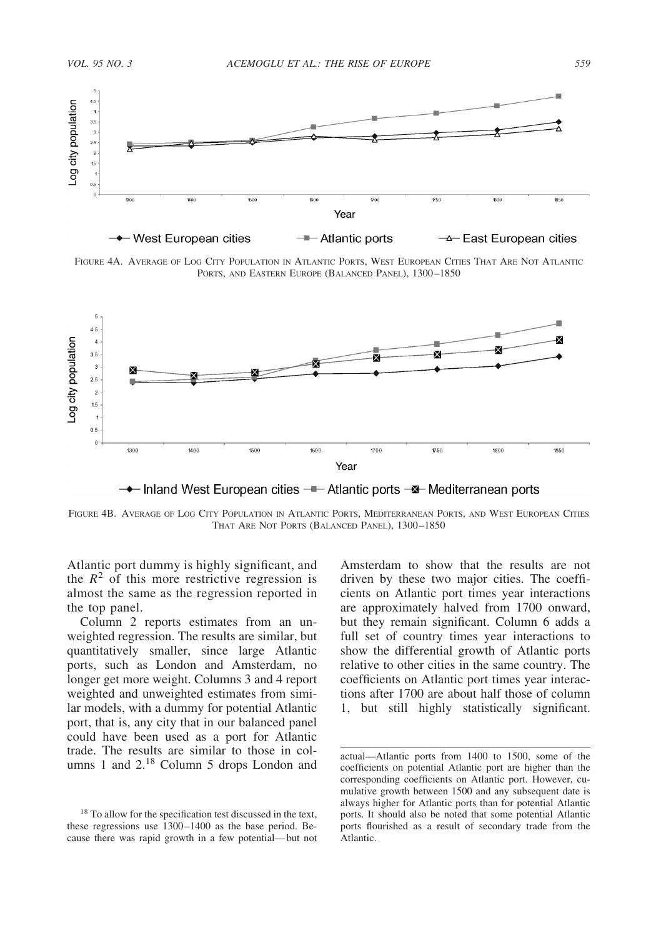

FIGURE 4A. AVERAGE OF LOG CITY POPULATION IN ATLANTIC PORTS, WEST EUROPEAN CITIES THAT ARE NOT ATLANTIC PORTS, AND EASTERN EUROPE (BALANCED PANEL), 1300–1850



→ Inland West European cities –– Atlantic ports –— Mediterranean ports

FIGURE 4B. AVERAGE OF LOG CITY POPULATION IN ATLANTIC PORTS, MEDITERRANEAN PORTS, AND WEST EUROPEAN CITIES THAT ARE NOT PORTS (BALANCED PANEL), 1300–1850

Atlantic port dummy is highly significant, and the  $R^2$  of this more restrictive regression is almost the same as the regression reported in the top panel.

Column 2 reports estimates from an unweighted regression. The results are similar, but quantitatively smaller, since large Atlantic ports, such as London and Amsterdam, no longer get more weight. Columns 3 and 4 report weighted and unweighted estimates from similar models, with a dummy for potential Atlantic port, that is, any city that in our balanced panel could have been used as a port for Atlantic trade. The results are similar to those in columns 1 and 2.<sup>18</sup> Column 5 drops London and

Amsterdam to show that the results are not driven by these two major cities. The coefficients on Atlantic port times year interactions are approximately halved from 1700 onward, but they remain significant. Column 6 adds a full set of country times year interactions to show the differential growth of Atlantic ports relative to other cities in the same country. The coefficients on Atlantic port times year interactions after 1700 are about half those of column 1, but still highly statistically significant.

<sup>&</sup>lt;sup>18</sup> To allow for the specification test discussed in the text, these regressions use 1300–1400 as the base period. Because there was rapid growth in a few potential—but not

actual—Atlantic ports from 1400 to 1500, some of the coefficients on potential Atlantic port are higher than the corresponding coefficients on Atlantic port. However, cumulative growth between 1500 and any subsequent date is always higher for Atlantic ports than for potential Atlantic ports. It should also be noted that some potential Atlantic ports flourished as a result of secondary trade from the Atlantic.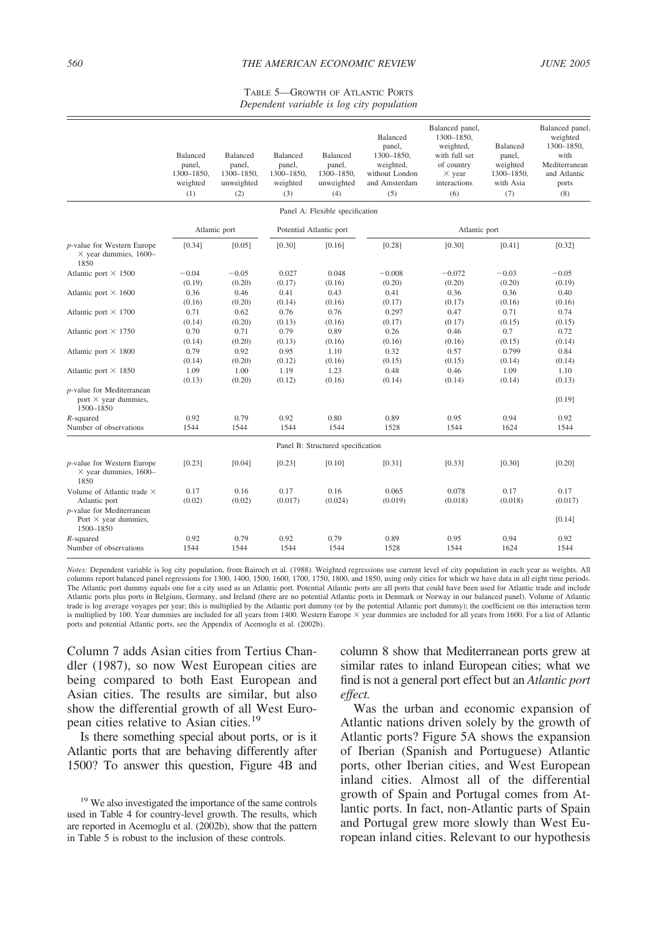#### *560 THE AMERICAN ECONOMIC REVIEW JUNE 2005*

#### TABLE 5—GROWTH OF ATLANTIC PORTS *Dependent variable is log city population*

|                                                                                 | <b>Balanced</b><br>panel,<br>1300-1850.<br>weighted<br>(1) | Balanced<br>panel,<br>1300-1850,<br>unweighted<br>(2) | <b>Balanced</b><br>panel,<br>1300-1850,<br>weighted<br>(3) | <b>Balanced</b><br>panel,<br>1300-1850,<br>unweighted<br>(4) | Balanced<br>panel,<br>1300-1850,<br>weighted,<br>without London<br>and Amsterdam<br>(5) | Balanced panel,<br>1300-1850,<br>weighted,<br>with full set<br>of country<br>$\times$ year<br>interactions<br>(6) | Balanced<br>panel,<br>weighted<br>1300-1850,<br>with Asia<br>(7) | Balanced panel,<br>weighted<br>1300-1850,<br>with<br>Mediterranean<br>and Atlantic<br>ports<br>(8) |
|---------------------------------------------------------------------------------|------------------------------------------------------------|-------------------------------------------------------|------------------------------------------------------------|--------------------------------------------------------------|-----------------------------------------------------------------------------------------|-------------------------------------------------------------------------------------------------------------------|------------------------------------------------------------------|----------------------------------------------------------------------------------------------------|
|                                                                                 |                                                            |                                                       |                                                            | Panel A: Flexible specification                              |                                                                                         |                                                                                                                   |                                                                  |                                                                                                    |
|                                                                                 |                                                            | Atlantic port                                         |                                                            | Potential Atlantic port                                      |                                                                                         | Atlantic port                                                                                                     |                                                                  |                                                                                                    |
| <i>p</i> -value for Western Europe<br>$\times$ year dummies, 1600-<br>1850      | [0.34]                                                     | [0.05]                                                | [0.30]                                                     | [0.16]                                                       | [0.28]                                                                                  | [0.30]                                                                                                            | [0.41]                                                           | [0.32]                                                                                             |
| Atlantic port $\times$ 1500                                                     | $-0.04$<br>(0.19)                                          | $-0.05$<br>(0.20)                                     | 0.027<br>(0.17)                                            | 0.048<br>(0.16)                                              | $-0.008$<br>(0.20)                                                                      | $-0.072$<br>(0.20)                                                                                                | $-0.03$<br>(0.20)                                                | $-0.05$<br>(0.19)                                                                                  |
| Atlantic port $\times$ 1600                                                     | 0.36<br>(0.16)                                             | 0.46<br>(0.20)                                        | 0.41<br>(0.14)                                             | 0.43<br>(0.16)                                               | 0.41<br>(0.17)                                                                          | 0.36<br>(0.17)                                                                                                    | 0.36<br>(0.16)                                                   | 0.40<br>(0.16)                                                                                     |
| Atlantic port $\times$ 1700                                                     | 0.71<br>(0.14)                                             | 0.62<br>(0.20)                                        | 0.76<br>(0.13)                                             | 0.76<br>(0.16)                                               | 0.297<br>(0.17)                                                                         | 0.47<br>(0.17)                                                                                                    | 0.71<br>(0.15)                                                   | 0.74<br>(0.15)                                                                                     |
| Atlantic port $\times$ 1750                                                     | 0.70<br>(0.14)                                             | 0.71<br>(0.20)                                        | 0.79<br>(0.13)                                             | 0.89<br>(0.16)                                               | 0.26<br>(0.16)                                                                          | 0.46<br>(0.16)                                                                                                    | 0.7<br>(0.15)                                                    | 0.72<br>(0.14)                                                                                     |
| Atlantic port $\times$ 1800                                                     | 0.79                                                       | 0.92                                                  | 0.95                                                       | 1.10                                                         | 0.32                                                                                    | 0.57                                                                                                              | 0.799                                                            | 0.84                                                                                               |
| Atlantic port $\times$ 1850                                                     | (0.14)<br>1.09<br>(0.13)                                   | (0.20)<br>1.00<br>(0.20)                              | (0.12)<br>1.19<br>(0.12)                                   | (0.16)<br>1.23<br>(0.16)                                     | (0.15)<br>0.48<br>(0.14)                                                                | (0.15)<br>0.46<br>(0.14)                                                                                          | (0.14)<br>1.09<br>(0.14)                                         | (0.14)<br>1.10<br>(0.13)                                                                           |
| p-value for Mediterranean<br>port $\times$ year dummies,<br>1500-1850           |                                                            |                                                       |                                                            |                                                              |                                                                                         |                                                                                                                   |                                                                  | [0.19]                                                                                             |
| $R$ -squared<br>Number of observations                                          | 0.92<br>1544                                               | 0.79<br>1544                                          | 0.92<br>1544                                               | 0.80<br>1544                                                 | 0.89<br>1528                                                                            | 0.95<br>1544                                                                                                      | 0.94<br>1624                                                     | 0.92<br>1544                                                                                       |
|                                                                                 |                                                            |                                                       |                                                            | Panel B: Structured specification                            |                                                                                         |                                                                                                                   |                                                                  |                                                                                                    |
| p-value for Western Europe<br>$\times$ year dummies, 1600–<br>1850              | [0.23]                                                     | [0.04]                                                | [0.23]                                                     | [0.10]                                                       | [0.31]                                                                                  | [0.33]                                                                                                            | [0.30]                                                           | [0.20]                                                                                             |
| Volume of Atlantic trade $\times$<br>Atlantic port<br>p-value for Mediterranean | 0.17<br>(0.02)                                             | 0.16<br>(0.02)                                        | 0.17<br>(0.017)                                            | 0.16<br>(0.024)                                              | 0.065<br>(0.019)                                                                        | 0.078<br>(0.018)                                                                                                  | 0.17<br>(0.018)                                                  | 0.17<br>(0.017)                                                                                    |
| Port $\times$ year dummies,<br>1500-1850                                        |                                                            |                                                       |                                                            |                                                              |                                                                                         |                                                                                                                   |                                                                  | [0.14]                                                                                             |
| $R$ -squared<br>Number of observations                                          | 0.92<br>1544                                               | 0.79<br>1544                                          | 0.92<br>1544                                               | 0.79<br>1544                                                 | 0.89<br>1528                                                                            | 0.95<br>1544                                                                                                      | 0.94<br>1624                                                     | 0.92<br>1544                                                                                       |

*Notes:* Dependent variable is log city population, from Bairoch et al. (1988). Weighted regressions use current level of city population in each year as weights. All columns report balanced panel regressions for 1300, 1400, 1500, 1600, 1700, 1750, 1800, and 1850, using only cities for which we have data in all eight time periods. The Atlantic port dummy equals one for a city used as an Atlantic port. Potential Atlantic ports are all ports that could have been used for Atlantic trade and include Atlantic ports plus ports in Belgium, Germany, and Ireland (there are no potential Atlantic ports in Denmark or Norway in our balanced panel). Volume of Atlantic trade is log average voyages per year; this is multiplied by the Atlantic port dummy (or by the potential Atlantic port dummy); the coefficient on this interaction term is multiplied by 100. Year dummies are included for all years from 1400. Western Europe  $\times$  year dummies are included for all years from 1600. For a list of Atlantic ports and potential Atlantic ports, see the Appendix of Acemoglu et al. (2002b).

Column 7 adds Asian cities from Tertius Chandler (1987), so now West European cities are being compared to both East European and Asian cities. The results are similar, but also show the differential growth of all West European cities relative to Asian cities.19

Is there something special about ports, or is it Atlantic ports that are behaving differently after 1500? To answer this question, Figure 4B and

column 8 show that Mediterranean ports grew at similar rates to inland European cities; what we find is not a general port effect but an *Atlantic port effect.*

Was the urban and economic expansion of Atlantic nations driven solely by the growth of Atlantic ports? Figure 5A shows the expansion of Iberian (Spanish and Portuguese) Atlantic ports, other Iberian cities, and West European inland cities. Almost all of the differential growth of Spain and Portugal comes from Atlantic ports. In fact, non-Atlantic parts of Spain and Portugal grew more slowly than West European inland cities. Relevant to our hypothesis

<sup>&</sup>lt;sup>19</sup> We also investigated the importance of the same controls used in Table 4 for country-level growth. The results, which are reported in Acemoglu et al. (2002b), show that the pattern in Table 5 is robust to the inclusion of these controls.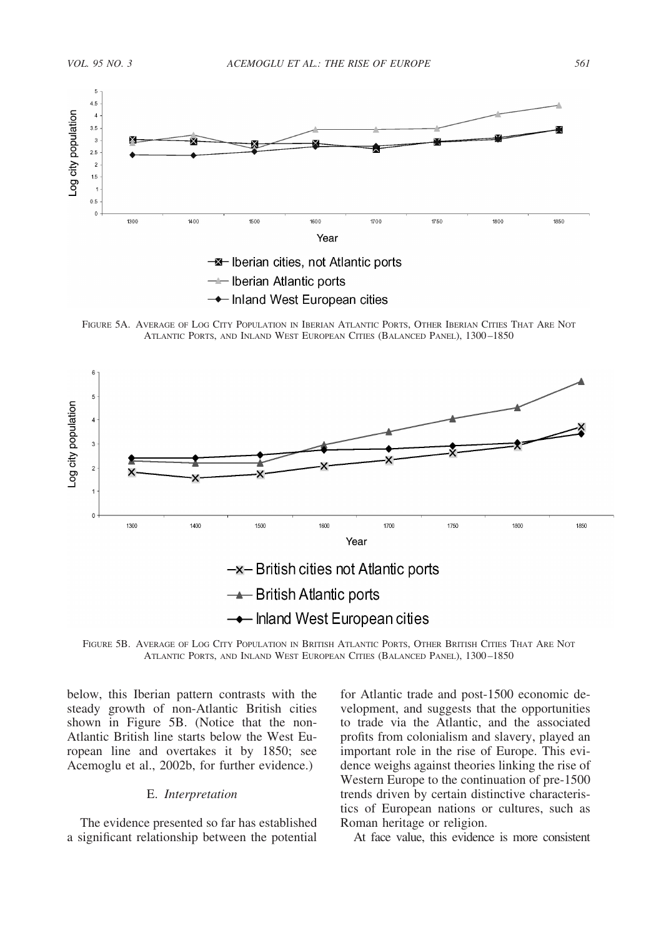



FIGURE 5A. AVERAGE OF LOG CITY POPULATION IN IBERIAN ATLANTIC PORTS, OTHER IBERIAN CITIES THAT ARE NOT ATLANTIC PORTS, AND INLAND WEST EUROPEAN CITIES (BALANCED PANEL), 1300–1850



FIGURE 5B. AVERAGE OF LOG CITY POPULATION IN BRITISH ATLANTIC PORTS, OTHER BRITISH CITIES THAT ARE NOT ATLANTIC PORTS, AND INLAND WEST EUROPEAN CITIES (BALANCED PANEL), 1300–1850

below, this Iberian pattern contrasts with the steady growth of non-Atlantic British cities shown in Figure 5B. (Notice that the non-Atlantic British line starts below the West European line and overtakes it by 1850; see Acemoglu et al., 2002b, for further evidence.)

# E. *Interpretation*

The evidence presented so far has established a significant relationship between the potential for Atlantic trade and post-1500 economic development, and suggests that the opportunities to trade via the Atlantic, and the associated profits from colonialism and slavery, played an important role in the rise of Europe. This evidence weighs against theories linking the rise of Western Europe to the continuation of pre-1500 trends driven by certain distinctive characteristics of European nations or cultures, such as Roman heritage or religion.

At face value, this evidence is more consistent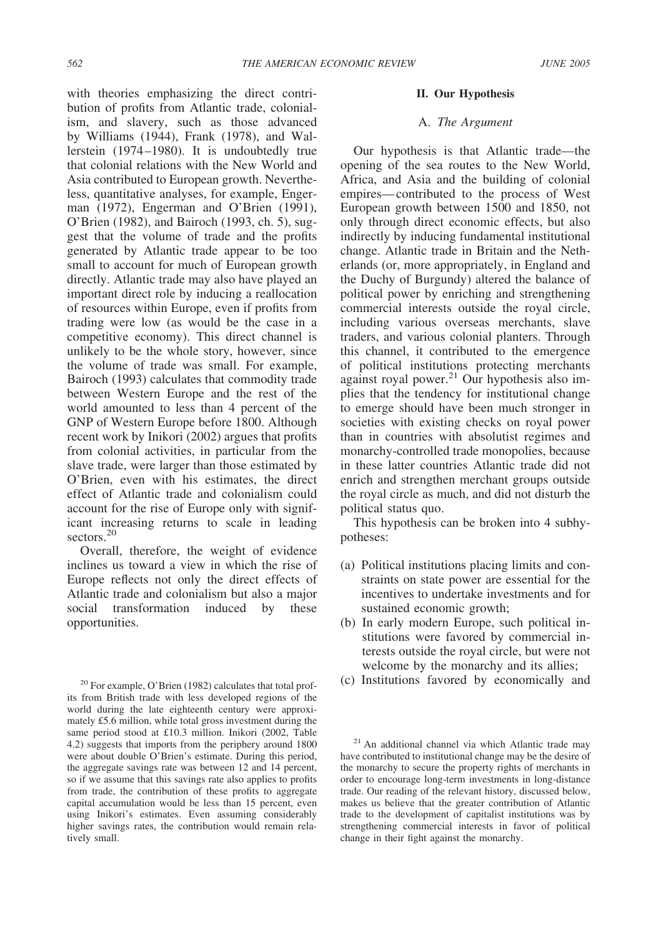with theories emphasizing the direct contribution of profits from Atlantic trade, colonialism, and slavery, such as those advanced by Williams (1944), Frank (1978), and Wallerstein (1974–1980). It is undoubtedly true that colonial relations with the New World and Asia contributed to European growth. Nevertheless, quantitative analyses, for example, Engerman (1972), Engerman and O'Brien (1991), O'Brien (1982), and Bairoch (1993, ch. 5), suggest that the volume of trade and the profits generated by Atlantic trade appear to be too small to account for much of European growth directly. Atlantic trade may also have played an important direct role by inducing a reallocation of resources within Europe, even if profits from trading were low (as would be the case in a competitive economy). This direct channel is unlikely to be the whole story, however, since the volume of trade was small. For example, Bairoch (1993) calculates that commodity trade between Western Europe and the rest of the world amounted to less than 4 percent of the GNP of Western Europe before 1800. Although recent work by Inikori (2002) argues that profits from colonial activities, in particular from the slave trade, were larger than those estimated by O'Brien, even with his estimates, the direct effect of Atlantic trade and colonialism could account for the rise of Europe only with significant increasing returns to scale in leading sectors.<sup>20</sup>

Overall, therefore, the weight of evidence inclines us toward a view in which the rise of Europe reflects not only the direct effects of Atlantic trade and colonialism but also a major social transformation induced by these opportunities.

its from British trade with less developed regions of the world during the late eighteenth century were approximately £5.6 million, while total gross investment during the same period stood at £10.3 million. Inikori (2002, Table 4.2) suggests that imports from the periphery around 1800 were about double O'Brien's estimate. During this period, the aggregate savings rate was between 12 and 14 percent, so if we assume that this savings rate also applies to profits from trade, the contribution of these profits to aggregate capital accumulation would be less than 15 percent, even using Inikori's estimates. Even assuming considerably higher savings rates, the contribution would remain relatively small.

#### **II. Our Hypothesis**

# A. *The Argument*

Our hypothesis is that Atlantic trade—the opening of the sea routes to the New World, Africa, and Asia and the building of colonial empires—contributed to the process of West European growth between 1500 and 1850, not only through direct economic effects, but also indirectly by inducing fundamental institutional change. Atlantic trade in Britain and the Netherlands (or, more appropriately, in England and the Duchy of Burgundy) altered the balance of political power by enriching and strengthening commercial interests outside the royal circle, including various overseas merchants, slave traders, and various colonial planters. Through this channel, it contributed to the emergence of political institutions protecting merchants against royal power.<sup>21</sup> Our hypothesis also implies that the tendency for institutional change to emerge should have been much stronger in societies with existing checks on royal power than in countries with absolutist regimes and monarchy-controlled trade monopolies, because in these latter countries Atlantic trade did not enrich and strengthen merchant groups outside the royal circle as much, and did not disturb the political status quo.

This hypothesis can be broken into 4 subhypotheses:

- (a) Political institutions placing limits and constraints on state power are essential for the incentives to undertake investments and for sustained economic growth;
- (b) In early modern Europe, such political institutions were favored by commercial interests outside the royal circle, but were not welcome by the monarchy and its allies;
- <sup>20</sup> For example, O'Brien (1982) calculates that total prof-  $\qquad$  (c) Institutions favored by economically and

 $21$  An additional channel via which Atlantic trade may have contributed to institutional change may be the desire of the monarchy to secure the property rights of merchants in order to encourage long-term investments in long-distance trade. Our reading of the relevant history, discussed below, makes us believe that the greater contribution of Atlantic trade to the development of capitalist institutions was by strengthening commercial interests in favor of political change in their fight against the monarchy.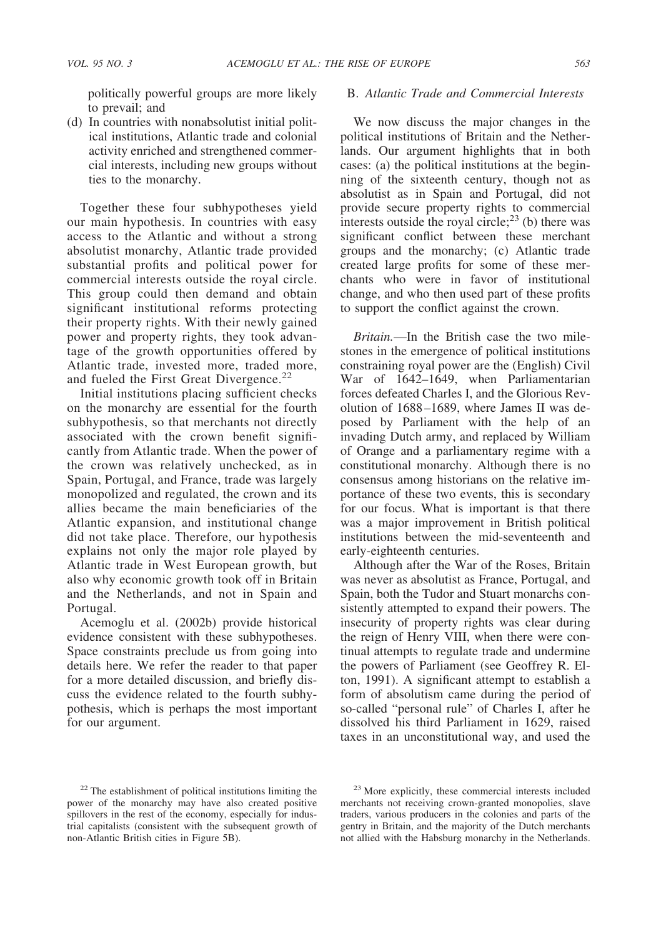politically powerful groups are more likely to prevail; and

(d) In countries with nonabsolutist initial political institutions, Atlantic trade and colonial activity enriched and strengthened commercial interests, including new groups without ties to the monarchy.

Together these four subhypotheses yield our main hypothesis. In countries with easy access to the Atlantic and without a strong absolutist monarchy, Atlantic trade provided substantial profits and political power for commercial interests outside the royal circle. This group could then demand and obtain significant institutional reforms protecting their property rights. With their newly gained power and property rights, they took advantage of the growth opportunities offered by Atlantic trade, invested more, traded more, and fueled the First Great Divergence.<sup>22</sup>

Initial institutions placing sufficient checks on the monarchy are essential for the fourth subhypothesis, so that merchants not directly associated with the crown benefit significantly from Atlantic trade. When the power of the crown was relatively unchecked, as in Spain, Portugal, and France, trade was largely monopolized and regulated, the crown and its allies became the main beneficiaries of the Atlantic expansion, and institutional change did not take place. Therefore, our hypothesis explains not only the major role played by Atlantic trade in West European growth, but also why economic growth took off in Britain and the Netherlands, and not in Spain and Portugal.

Acemoglu et al. (2002b) provide historical evidence consistent with these subhypotheses. Space constraints preclude us from going into details here. We refer the reader to that paper for a more detailed discussion, and briefly discuss the evidence related to the fourth subhypothesis, which is perhaps the most important for our argument.

## B. *Atlantic Trade and Commercial Interests*

We now discuss the major changes in the political institutions of Britain and the Netherlands. Our argument highlights that in both cases: (a) the political institutions at the beginning of the sixteenth century, though not as absolutist as in Spain and Portugal, did not provide secure property rights to commercial interests outside the royal circle;<sup>23</sup> (b) there was significant conflict between these merchant groups and the monarchy; (c) Atlantic trade created large profits for some of these merchants who were in favor of institutional change, and who then used part of these profits to support the conflict against the crown.

*Britain.*—In the British case the two milestones in the emergence of political institutions constraining royal power are the (English) Civil War of 1642–1649, when Parliamentarian forces defeated Charles I, and the Glorious Revolution of 1688–1689, where James II was deposed by Parliament with the help of an invading Dutch army, and replaced by William of Orange and a parliamentary regime with a constitutional monarchy. Although there is no consensus among historians on the relative importance of these two events, this is secondary for our focus. What is important is that there was a major improvement in British political institutions between the mid-seventeenth and early-eighteenth centuries.

Although after the War of the Roses, Britain was never as absolutist as France, Portugal, and Spain, both the Tudor and Stuart monarchs consistently attempted to expand their powers. The insecurity of property rights was clear during the reign of Henry VIII, when there were continual attempts to regulate trade and undermine the powers of Parliament (see Geoffrey R. Elton, 1991). A significant attempt to establish a form of absolutism came during the period of so-called "personal rule" of Charles I, after he dissolved his third Parliament in 1629, raised taxes in an unconstitutional way, and used the

<sup>&</sup>lt;sup>22</sup> The establishment of political institutions limiting the power of the monarchy may have also created positive spillovers in the rest of the economy, especially for industrial capitalists (consistent with the subsequent growth of non-Atlantic British cities in Figure 5B).

<sup>23</sup> More explicitly, these commercial interests included merchants not receiving crown-granted monopolies, slave traders, various producers in the colonies and parts of the gentry in Britain, and the majority of the Dutch merchants not allied with the Habsburg monarchy in the Netherlands.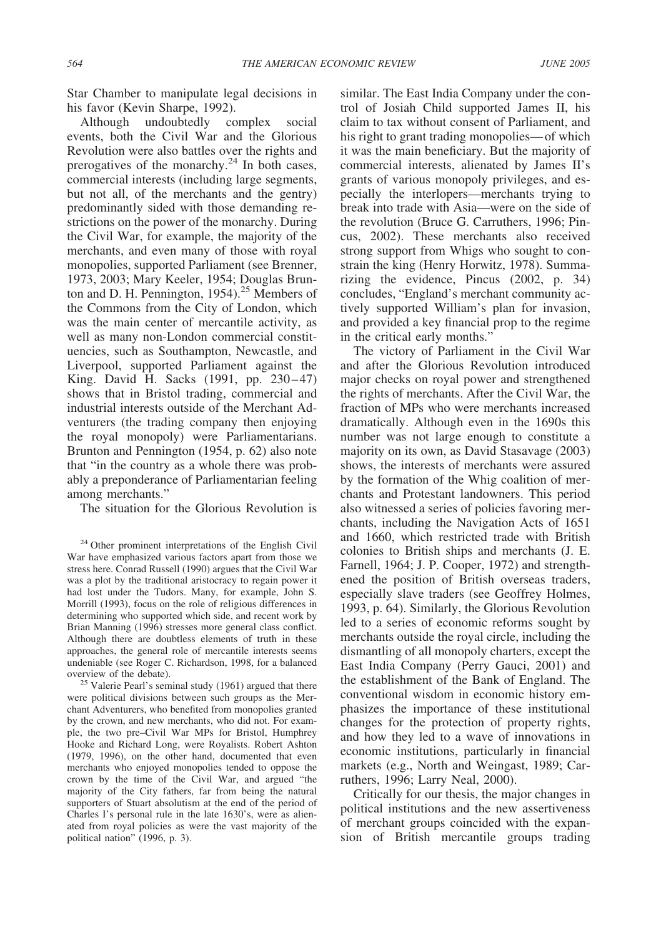Star Chamber to manipulate legal decisions in his favor (Kevin Sharpe, 1992).

Although undoubtedly complex social events, both the Civil War and the Glorious Revolution were also battles over the rights and prerogatives of the monarchy.<sup>24</sup> In both cases, commercial interests (including large segments, but not all, of the merchants and the gentry) predominantly sided with those demanding restrictions on the power of the monarchy. During the Civil War, for example, the majority of the merchants, and even many of those with royal monopolies, supported Parliament (see Brenner, 1973, 2003; Mary Keeler, 1954; Douglas Brunton and D. H. Pennington,  $1954$ .<sup>25</sup> Members of the Commons from the City of London, which was the main center of mercantile activity, as well as many non-London commercial constituencies, such as Southampton, Newcastle, and Liverpool, supported Parliament against the King. David H. Sacks (1991, pp. 230–47) shows that in Bristol trading, commercial and industrial interests outside of the Merchant Adventurers (the trading company then enjoying the royal monopoly) were Parliamentarians. Brunton and Pennington (1954, p. 62) also note that "in the country as a whole there was probably a preponderance of Parliamentarian feeling among merchants."

The situation for the Glorious Revolution is

similar. The East India Company under the control of Josiah Child supported James II, his claim to tax without consent of Parliament, and his right to grant trading monopolies—of which it was the main beneficiary. But the majority of commercial interests, alienated by James II's grants of various monopoly privileges, and especially the interlopers—merchants trying to break into trade with Asia—were on the side of the revolution (Bruce G. Carruthers, 1996; Pincus, 2002). These merchants also received strong support from Whigs who sought to constrain the king (Henry Horwitz, 1978). Summarizing the evidence, Pincus (2002, p. 34) concludes, "England's merchant community actively supported William's plan for invasion, and provided a key financial prop to the regime in the critical early months."

The victory of Parliament in the Civil War and after the Glorious Revolution introduced major checks on royal power and strengthened the rights of merchants. After the Civil War, the fraction of MPs who were merchants increased dramatically. Although even in the 1690s this number was not large enough to constitute a majority on its own, as David Stasavage (2003) shows, the interests of merchants were assured by the formation of the Whig coalition of merchants and Protestant landowners. This period also witnessed a series of policies favoring merchants, including the Navigation Acts of 1651 and 1660, which restricted trade with British colonies to British ships and merchants (J. E. Farnell, 1964; J. P. Cooper, 1972) and strengthened the position of British overseas traders, especially slave traders (see Geoffrey Holmes, 1993, p. 64). Similarly, the Glorious Revolution led to a series of economic reforms sought by merchants outside the royal circle, including the dismantling of all monopoly charters, except the East India Company (Perry Gauci, 2001) and the establishment of the Bank of England. The conventional wisdom in economic history emphasizes the importance of these institutional changes for the protection of property rights, and how they led to a wave of innovations in economic institutions, particularly in financial markets (e.g., North and Weingast, 1989; Carruthers, 1996; Larry Neal, 2000).

Critically for our thesis, the major changes in political institutions and the new assertiveness of merchant groups coincided with the expansion of British mercantile groups trading

 $24$  Other prominent interpretations of the English Civil War have emphasized various factors apart from those we stress here. Conrad Russell (1990) argues that the Civil War was a plot by the traditional aristocracy to regain power it had lost under the Tudors. Many, for example, John S. Morrill (1993), focus on the role of religious differences in determining who supported which side, and recent work by Brian Manning (1996) stresses more general class conflict. Although there are doubtless elements of truth in these approaches, the general role of mercantile interests seems undeniable (see Roger C. Richardson, 1998, for a balanced overview of the debate).<br><sup>25</sup> Valerie Pearl's seminal study (1961) argued that there

were political divisions between such groups as the Merchant Adventurers, who benefited from monopolies granted by the crown, and new merchants, who did not. For example, the two pre–Civil War MPs for Bristol, Humphrey Hooke and Richard Long, were Royalists. Robert Ashton (1979, 1996), on the other hand, documented that even merchants who enjoyed monopolies tended to oppose the crown by the time of the Civil War, and argued "the majority of the City fathers, far from being the natural supporters of Stuart absolutism at the end of the period of Charles I's personal rule in the late 1630's, were as alienated from royal policies as were the vast majority of the political nation" (1996, p. 3).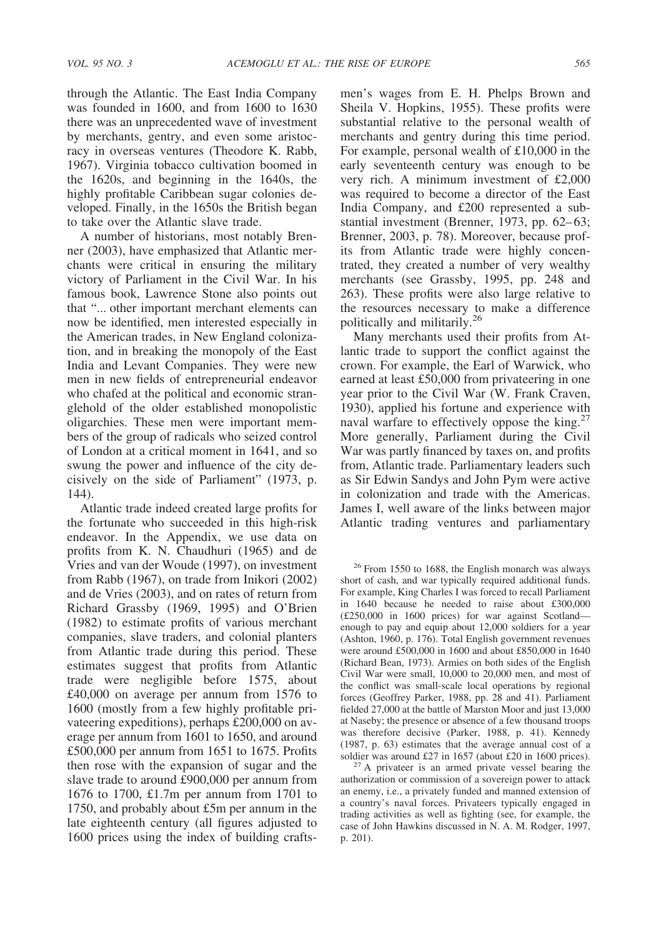through the Atlantic. The East India Company was founded in 1600, and from 1600 to 1630 there was an unprecedented wave of investment by merchants, gentry, and even some aristocracy in overseas ventures (Theodore K. Rabb, 1967). Virginia tobacco cultivation boomed in the 1620s, and beginning in the 1640s, the highly profitable Caribbean sugar colonies developed. Finally, in the 1650s the British began to take over the Atlantic slave trade.

A number of historians, most notably Brenner (2003), have emphasized that Atlantic merchants were critical in ensuring the military victory of Parliament in the Civil War. In his famous book, Lawrence Stone also points out that "... other important merchant elements can now be identified, men interested especially in the American trades, in New England colonization, and in breaking the monopoly of the East India and Levant Companies. They were new men in new fields of entrepreneurial endeavor who chafed at the political and economic stranglehold of the older established monopolistic oligarchies. These men were important members of the group of radicals who seized control of London at a critical moment in 1641, and so swung the power and influence of the city decisively on the side of Parliament" (1973, p. 144).

Atlantic trade indeed created large profits for the fortunate who succeeded in this high-risk endeavor. In the Appendix, we use data on profits from K. N. Chaudhuri (1965) and de Vries and van der Woude (1997), on investment from Rabb (1967), on trade from Inikori (2002) and de Vries (2003), and on rates of return from Richard Grassby (1969, 1995) and O'Brien (1982) to estimate profits of various merchant companies, slave traders, and colonial planters from Atlantic trade during this period. These estimates suggest that profits from Atlantic trade were negligible before 1575, about £40,000 on average per annum from 1576 to 1600 (mostly from a few highly profitable privateering expeditions), perhaps £200,000 on average per annum from 1601 to 1650, and around £500,000 per annum from 1651 to 1675. Profits then rose with the expansion of sugar and the slave trade to around £900,000 per annum from 1676 to 1700, £1.7m per annum from 1701 to 1750, and probably about £5m per annum in the late eighteenth century (all figures adjusted to 1600 prices using the index of building craftsmen's wages from E. H. Phelps Brown and Sheila V. Hopkins, 1955). These profits were substantial relative to the personal wealth of merchants and gentry during this time period. For example, personal wealth of £10,000 in the early seventeenth century was enough to be very rich. A minimum investment of £2,000 was required to become a director of the East India Company, and £200 represented a substantial investment (Brenner, 1973, pp. 62–63; Brenner, 2003, p. 78). Moreover, because profits from Atlantic trade were highly concentrated, they created a number of very wealthy merchants (see Grassby, 1995, pp. 248 and 263). These profits were also large relative to the resources necessary to make a difference politically and militarily.<sup>26</sup>

Many merchants used their profits from Atlantic trade to support the conflict against the crown. For example, the Earl of Warwick, who earned at least £50,000 from privateering in one year prior to the Civil War (W. Frank Craven, 1930), applied his fortune and experience with naval warfare to effectively oppose the king.<sup>27</sup> More generally, Parliament during the Civil War was partly financed by taxes on, and profits from, Atlantic trade. Parliamentary leaders such as Sir Edwin Sandys and John Pym were active in colonization and trade with the Americas. James I, well aware of the links between major Atlantic trading ventures and parliamentary

<sup>26</sup> From 1550 to 1688, the English monarch was always short of cash, and war typically required additional funds. For example, King Charles I was forced to recall Parliament in 1640 because he needed to raise about £300,000 (£250,000 in 1600 prices) for war against Scotland enough to pay and equip about 12,000 soldiers for a year (Ashton, 1960, p. 176). Total English government revenues were around £500,000 in 1600 and about £850,000 in 1640 (Richard Bean, 1973). Armies on both sides of the English Civil War were small, 10,000 to 20,000 men, and most of the conflict was small-scale local operations by regional forces (Geoffrey Parker, 1988, pp. 28 and 41). Parliament fielded 27,000 at the battle of Marston Moor and just 13,000 at Naseby; the presence or absence of a few thousand troops was therefore decisive (Parker, 1988, p. 41). Kennedy (1987, p. 63) estimates that the average annual cost of a soldier was around  $£27$  in 1657 (about  $£20$  in 1600 prices).

 $27 A$  privateer is an armed private vessel bearing the authorization or commission of a sovereign power to attack an enemy, i.e., a privately funded and manned extension of a country's naval forces. Privateers typically engaged in trading activities as well as fighting (see, for example, the case of John Hawkins discussed in N. A. M. Rodger, 1997, p. 201).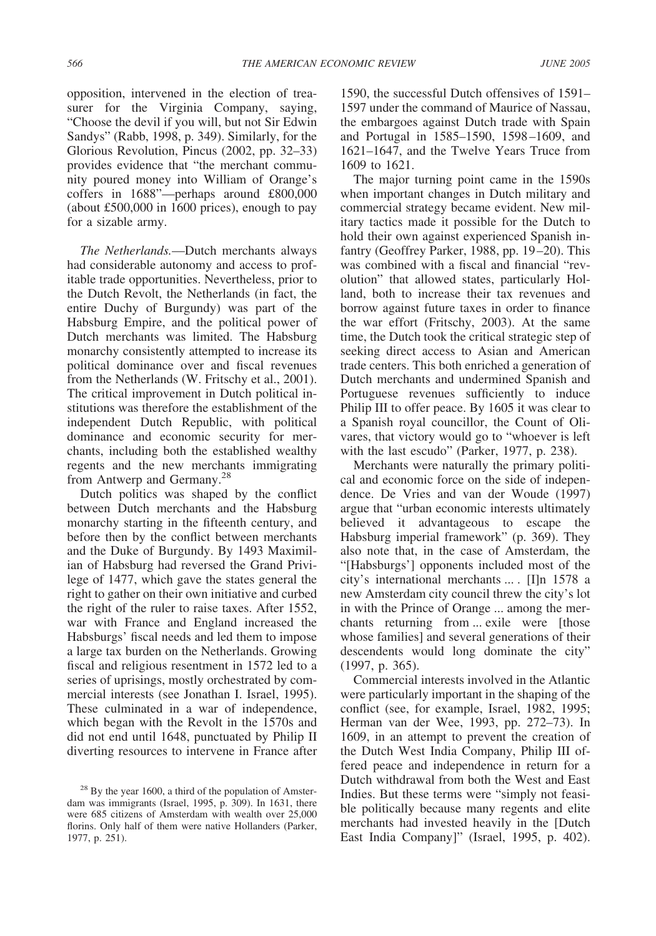opposition, intervened in the election of treasurer for the Virginia Company, saying, "Choose the devil if you will, but not Sir Edwin Sandys" (Rabb, 1998, p. 349). Similarly, for the Glorious Revolution, Pincus (2002, pp. 32–33) provides evidence that "the merchant community poured money into William of Orange's coffers in 1688"—perhaps around £800,000 (about £500,000 in 1600 prices), enough to pay for a sizable army.

*The Netherlands.*—Dutch merchants always had considerable autonomy and access to profitable trade opportunities. Nevertheless, prior to the Dutch Revolt, the Netherlands (in fact, the entire Duchy of Burgundy) was part of the Habsburg Empire, and the political power of Dutch merchants was limited. The Habsburg monarchy consistently attempted to increase its political dominance over and fiscal revenues from the Netherlands (W. Fritschy et al., 2001). The critical improvement in Dutch political institutions was therefore the establishment of the independent Dutch Republic, with political dominance and economic security for merchants, including both the established wealthy regents and the new merchants immigrating from Antwerp and Germany.<sup>28</sup>

Dutch politics was shaped by the conflict between Dutch merchants and the Habsburg monarchy starting in the fifteenth century, and before then by the conflict between merchants and the Duke of Burgundy. By 1493 Maximilian of Habsburg had reversed the Grand Privilege of 1477, which gave the states general the right to gather on their own initiative and curbed the right of the ruler to raise taxes. After 1552, war with France and England increased the Habsburgs' fiscal needs and led them to impose a large tax burden on the Netherlands. Growing fiscal and religious resentment in 1572 led to a series of uprisings, mostly orchestrated by commercial interests (see Jonathan I. Israel, 1995). These culminated in a war of independence, which began with the Revolt in the 1570s and did not end until 1648, punctuated by Philip II diverting resources to intervene in France after

1590, the successful Dutch offensives of 1591– 1597 under the command of Maurice of Nassau, the embargoes against Dutch trade with Spain and Portugal in 1585–1590, 1598–1609, and 1621–1647, and the Twelve Years Truce from 1609 to 1621.

The major turning point came in the 1590s when important changes in Dutch military and commercial strategy became evident. New military tactics made it possible for the Dutch to hold their own against experienced Spanish infantry (Geoffrey Parker, 1988, pp. 19–20). This was combined with a fiscal and financial "revolution" that allowed states, particularly Holland, both to increase their tax revenues and borrow against future taxes in order to finance the war effort (Fritschy, 2003). At the same time, the Dutch took the critical strategic step of seeking direct access to Asian and American trade centers. This both enriched a generation of Dutch merchants and undermined Spanish and Portuguese revenues sufficiently to induce Philip III to offer peace. By 1605 it was clear to a Spanish royal councillor, the Count of Olivares, that victory would go to "whoever is left with the last escudo" (Parker, 1977, p. 238).

Merchants were naturally the primary political and economic force on the side of independence. De Vries and van der Woude (1997) argue that "urban economic interests ultimately believed it advantageous to escape the Habsburg imperial framework" (p. 369). They also note that, in the case of Amsterdam, the "[Habsburgs'] opponents included most of the city's international merchants ... . [I]n 1578 a new Amsterdam city council threw the city's lot in with the Prince of Orange ... among the merchants returning from ... exile were [those whose families] and several generations of their descendents would long dominate the city" (1997, p. 365).

Commercial interests involved in the Atlantic were particularly important in the shaping of the conflict (see, for example, Israel, 1982, 1995; Herman van der Wee, 1993, pp. 272–73). In 1609, in an attempt to prevent the creation of the Dutch West India Company, Philip III offered peace and independence in return for a Dutch withdrawal from both the West and East Indies. But these terms were "simply not feasible politically because many regents and elite merchants had invested heavily in the [Dutch East India Company]" (Israel, 1995, p. 402).

 $^{28}$  By the year 1600, a third of the population of Amsterdam was immigrants (Israel, 1995, p. 309). In 1631, there were 685 citizens of Amsterdam with wealth over 25,000 florins. Only half of them were native Hollanders (Parker, 1977, p. 251).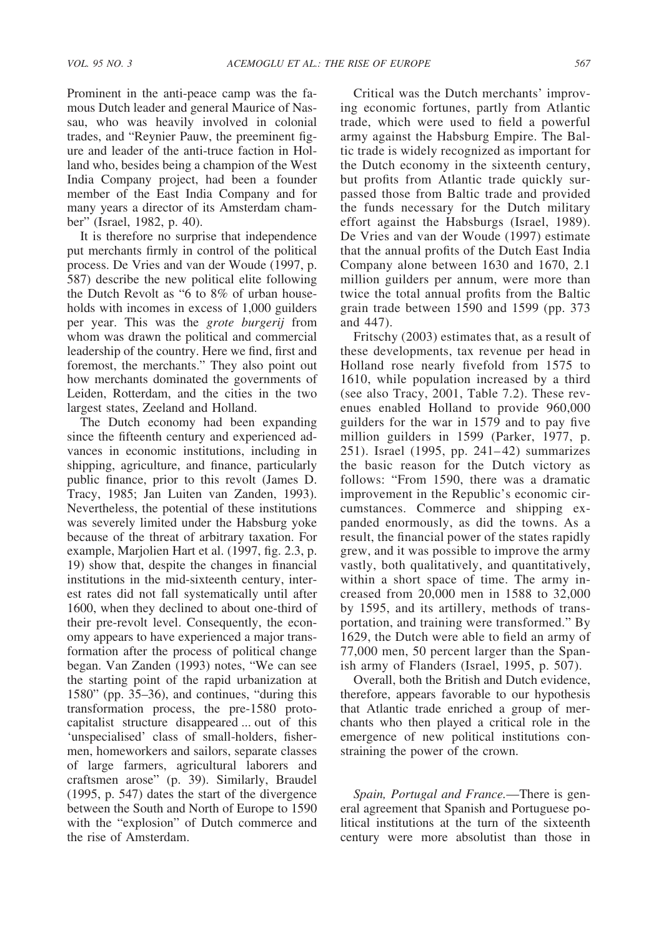Prominent in the anti-peace camp was the famous Dutch leader and general Maurice of Nassau, who was heavily involved in colonial trades, and "Reynier Pauw, the preeminent figure and leader of the anti-truce faction in Holland who, besides being a champion of the West India Company project, had been a founder member of the East India Company and for many years a director of its Amsterdam chamber" (Israel, 1982, p. 40).

It is therefore no surprise that independence put merchants firmly in control of the political process. De Vries and van der Woude (1997, p. 587) describe the new political elite following the Dutch Revolt as "6 to 8% of urban households with incomes in excess of 1,000 guilders per year. This was the *grote burgerij* from whom was drawn the political and commercial leadership of the country. Here we find, first and foremost, the merchants." They also point out how merchants dominated the governments of Leiden, Rotterdam, and the cities in the two largest states, Zeeland and Holland.

The Dutch economy had been expanding since the fifteenth century and experienced advances in economic institutions, including in shipping, agriculture, and finance, particularly public finance, prior to this revolt (James D. Tracy, 1985; Jan Luiten van Zanden, 1993). Nevertheless, the potential of these institutions was severely limited under the Habsburg yoke because of the threat of arbitrary taxation. For example, Marjolien Hart et al. (1997, fig. 2.3, p. 19) show that, despite the changes in financial institutions in the mid-sixteenth century, interest rates did not fall systematically until after 1600, when they declined to about one-third of their pre-revolt level. Consequently, the economy appears to have experienced a major transformation after the process of political change began. Van Zanden (1993) notes, "We can see the starting point of the rapid urbanization at 1580" (pp. 35–36), and continues, "during this transformation process, the pre-1580 protocapitalist structure disappeared ... out of this 'unspecialised' class of small-holders, fishermen, homeworkers and sailors, separate classes of large farmers, agricultural laborers and craftsmen arose" (p. 39). Similarly, Braudel (1995, p. 547) dates the start of the divergence between the South and North of Europe to 1590 with the "explosion" of Dutch commerce and the rise of Amsterdam.

Critical was the Dutch merchants' improving economic fortunes, partly from Atlantic trade, which were used to field a powerful army against the Habsburg Empire. The Baltic trade is widely recognized as important for the Dutch economy in the sixteenth century, but profits from Atlantic trade quickly surpassed those from Baltic trade and provided the funds necessary for the Dutch military effort against the Habsburgs (Israel, 1989). De Vries and van der Woude (1997) estimate that the annual profits of the Dutch East India Company alone between 1630 and 1670, 2.1 million guilders per annum, were more than twice the total annual profits from the Baltic grain trade between 1590 and 1599 (pp. 373 and 447).

Fritschy (2003) estimates that, as a result of these developments, tax revenue per head in Holland rose nearly fivefold from 1575 to 1610, while population increased by a third (see also Tracy, 2001, Table 7.2). These revenues enabled Holland to provide 960,000 guilders for the war in 1579 and to pay five million guilders in 1599 (Parker, 1977, p. 251). Israel (1995, pp. 241–42) summarizes the basic reason for the Dutch victory as follows: "From 1590, there was a dramatic improvement in the Republic's economic circumstances. Commerce and shipping expanded enormously, as did the towns. As a result, the financial power of the states rapidly grew, and it was possible to improve the army vastly, both qualitatively, and quantitatively, within a short space of time. The army increased from 20,000 men in 1588 to 32,000 by 1595, and its artillery, methods of transportation, and training were transformed." By 1629, the Dutch were able to field an army of 77,000 men, 50 percent larger than the Spanish army of Flanders (Israel, 1995, p. 507).

Overall, both the British and Dutch evidence, therefore, appears favorable to our hypothesis that Atlantic trade enriched a group of merchants who then played a critical role in the emergence of new political institutions constraining the power of the crown.

*Spain, Portugal and France.*—There is general agreement that Spanish and Portuguese political institutions at the turn of the sixteenth century were more absolutist than those in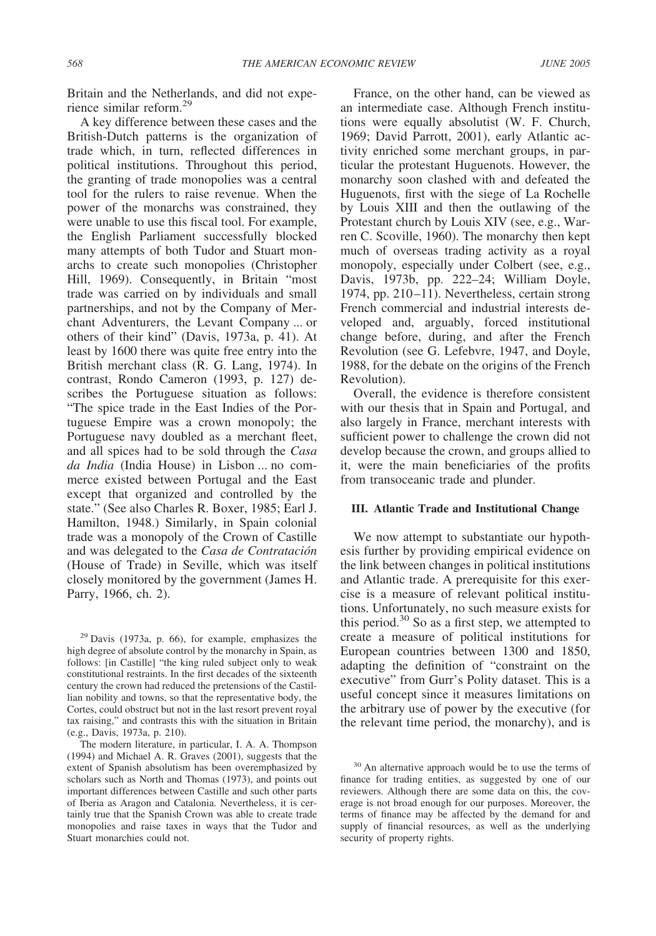Britain and the Netherlands, and did not experience similar reform.29

A key difference between these cases and the British-Dutch patterns is the organization of trade which, in turn, reflected differences in political institutions. Throughout this period, the granting of trade monopolies was a central tool for the rulers to raise revenue. When the power of the monarchs was constrained, they were unable to use this fiscal tool. For example, the English Parliament successfully blocked many attempts of both Tudor and Stuart monarchs to create such monopolies (Christopher Hill, 1969). Consequently, in Britain "most trade was carried on by individuals and small partnerships, and not by the Company of Merchant Adventurers, the Levant Company ... or others of their kind" (Davis, 1973a, p. 41). At least by 1600 there was quite free entry into the British merchant class (R. G. Lang, 1974). In contrast, Rondo Cameron (1993, p. 127) describes the Portuguese situation as follows: "The spice trade in the East Indies of the Portuguese Empire was a crown monopoly; the Portuguese navy doubled as a merchant fleet, and all spices had to be sold through the *Casa da India* (India House) in Lisbon ... no commerce existed between Portugal and the East except that organized and controlled by the state." (See also Charles R. Boxer, 1985; Earl J. Hamilton, 1948.) Similarly, in Spain colonial trade was a monopoly of the Crown of Castille and was delegated to the *Casa de Contratacio´n* (House of Trade) in Seville, which was itself closely monitored by the government (James H. Parry, 1966, ch. 2).

 $29$  Davis (1973a, p. 66), for example, emphasizes the high degree of absolute control by the monarchy in Spain, as follows: [in Castille] "the king ruled subject only to weak constitutional restraints. In the first decades of the sixteenth century the crown had reduced the pretensions of the Castillian nobility and towns, so that the representative body, the Cortes, could obstruct but not in the last resort prevent royal tax raising," and contrasts this with the situation in Britain (e.g., Davis, 1973a, p. 210).

The modern literature, in particular, I. A. A. Thompson (1994) and Michael A. R. Graves (2001), suggests that the extent of Spanish absolutism has been overemphasized by scholars such as North and Thomas (1973), and points out important differences between Castille and such other parts of Iberia as Aragon and Catalonia. Nevertheless, it is certainly true that the Spanish Crown was able to create trade monopolies and raise taxes in ways that the Tudor and Stuart monarchies could not.

France, on the other hand, can be viewed as an intermediate case. Although French institutions were equally absolutist (W. F. Church, 1969; David Parrott, 2001), early Atlantic activity enriched some merchant groups, in particular the protestant Huguenots. However, the monarchy soon clashed with and defeated the Huguenots, first with the siege of La Rochelle by Louis XIII and then the outlawing of the Protestant church by Louis XIV (see, e.g., Warren C. Scoville, 1960). The monarchy then kept much of overseas trading activity as a royal monopoly, especially under Colbert (see, e.g., Davis, 1973b, pp. 222–24; William Doyle, 1974, pp. 210–11). Nevertheless, certain strong French commercial and industrial interests developed and, arguably, forced institutional change before, during, and after the French Revolution (see G. Lefebvre, 1947, and Doyle, 1988, for the debate on the origins of the French Revolution).

Overall, the evidence is therefore consistent with our thesis that in Spain and Portugal, and also largely in France, merchant interests with sufficient power to challenge the crown did not develop because the crown, and groups allied to it, were the main beneficiaries of the profits from transoceanic trade and plunder.

# **III. Atlantic Trade and Institutional Change**

We now attempt to substantiate our hypothesis further by providing empirical evidence on the link between changes in political institutions and Atlantic trade. A prerequisite for this exercise is a measure of relevant political institutions. Unfortunately, no such measure exists for this period.<sup>30</sup> So as a first step, we attempted to create a measure of political institutions for European countries between 1300 and 1850, adapting the definition of "constraint on the executive" from Gurr's Polity dataset. This is a useful concept since it measures limitations on the arbitrary use of power by the executive (for the relevant time period, the monarchy), and is

<sup>&</sup>lt;sup>30</sup> An alternative approach would be to use the terms of finance for trading entities, as suggested by one of our reviewers. Although there are some data on this, the coverage is not broad enough for our purposes. Moreover, the terms of finance may be affected by the demand for and supply of financial resources, as well as the underlying security of property rights.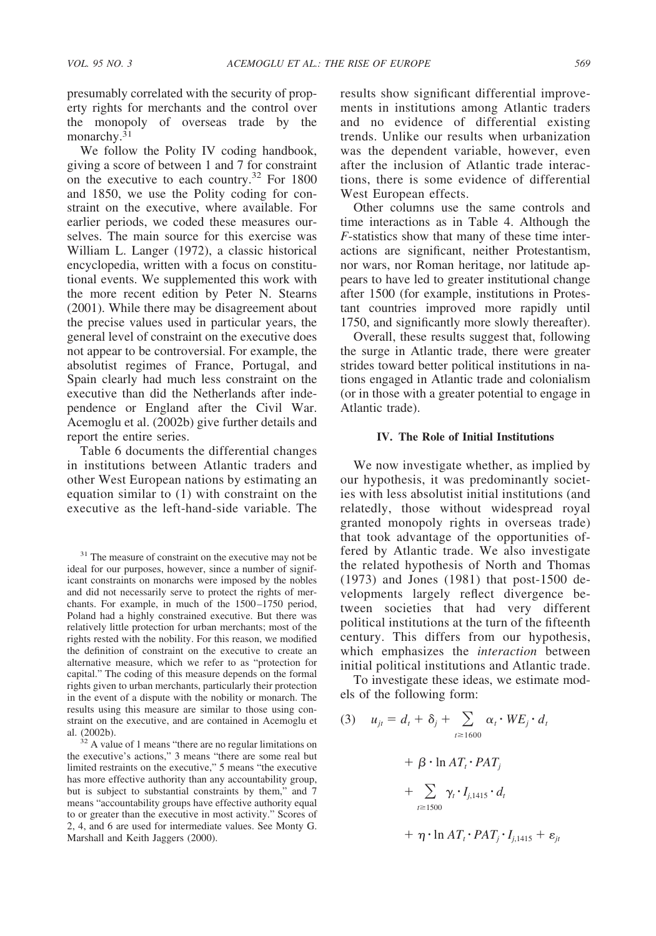presumably correlated with the security of property rights for merchants and the control over the monopoly of overseas trade by the monarchy. $31$ 

We follow the Polity IV coding handbook, giving a score of between 1 and 7 for constraint on the executive to each country.32 For 1800 and 1850, we use the Polity coding for constraint on the executive, where available. For earlier periods, we coded these measures ourselves. The main source for this exercise was William L. Langer (1972), a classic historical encyclopedia, written with a focus on constitutional events. We supplemented this work with the more recent edition by Peter N. Stearns (2001). While there may be disagreement about the precise values used in particular years, the general level of constraint on the executive does not appear to be controversial. For example, the absolutist regimes of France, Portugal, and Spain clearly had much less constraint on the executive than did the Netherlands after independence or England after the Civil War. Acemoglu et al. (2002b) give further details and report the entire series.

Table 6 documents the differential changes in institutions between Atlantic traders and other West European nations by estimating an equation similar to (1) with constraint on the executive as the left-hand-side variable. The

<sup>31</sup> The measure of constraint on the executive may not be ideal for our purposes, however, since a number of significant constraints on monarchs were imposed by the nobles and did not necessarily serve to protect the rights of merchants. For example, in much of the 1500–1750 period, Poland had a highly constrained executive. But there was relatively little protection for urban merchants; most of the rights rested with the nobility. For this reason, we modified the definition of constraint on the executive to create an alternative measure, which we refer to as "protection for capital." The coding of this measure depends on the formal rights given to urban merchants, particularly their protection in the event of a dispute with the nobility or monarch. The results using this measure are similar to those using constraint on the executive, and are contained in Acemoglu et al. (2002b).

 $32$  A value of 1 means "there are no regular limitations on the executive's actions," 3 means "there are some real but limited restraints on the executive," 5 means "the executive has more effective authority than any accountability group, but is subject to substantial constraints by them," and 7 means "accountability groups have effective authority equal to or greater than the executive in most activity." Scores of 2, 4, and 6 are used for intermediate values. See Monty G. Marshall and Keith Jaggers (2000).

results show significant differential improvements in institutions among Atlantic traders and no evidence of differential existing trends. Unlike our results when urbanization was the dependent variable, however, even after the inclusion of Atlantic trade interactions, there is some evidence of differential West European effects.

Other columns use the same controls and time interactions as in Table 4. Although the *F*-statistics show that many of these time interactions are significant, neither Protestantism, nor wars, nor Roman heritage, nor latitude appears to have led to greater institutional change after 1500 (for example, institutions in Protestant countries improved more rapidly until 1750, and significantly more slowly thereafter).

Overall, these results suggest that, following the surge in Atlantic trade, there were greater strides toward better political institutions in nations engaged in Atlantic trade and colonialism (or in those with a greater potential to engage in Atlantic trade).

## **IV. The Role of Initial Institutions**

We now investigate whether, as implied by our hypothesis, it was predominantly societies with less absolutist initial institutions (and relatedly, those without widespread royal granted monopoly rights in overseas trade) that took advantage of the opportunities offered by Atlantic trade. We also investigate the related hypothesis of North and Thomas (1973) and Jones (1981) that post-1500 developments largely reflect divergence between societies that had very different political institutions at the turn of the fifteenth century. This differs from our hypothesis, which emphasizes the *interaction* between initial political institutions and Atlantic trade.

To investigate these ideas, we estimate models of the following form:

(3) 
$$
u_{jt} = d_t + \delta_j + \sum_{t \ge 1600} \alpha_t \cdot WE_j \cdot d_t
$$

$$
+ \beta \cdot \ln AT_t \cdot PAT_j
$$

$$
+ \sum_{t \ge 1500} \gamma_t \cdot I_{j,1415} \cdot d_t
$$

$$
+ \eta \cdot \ln AT_t \cdot PAT_j \cdot I_{j,1415} + \varepsilon_{jt}
$$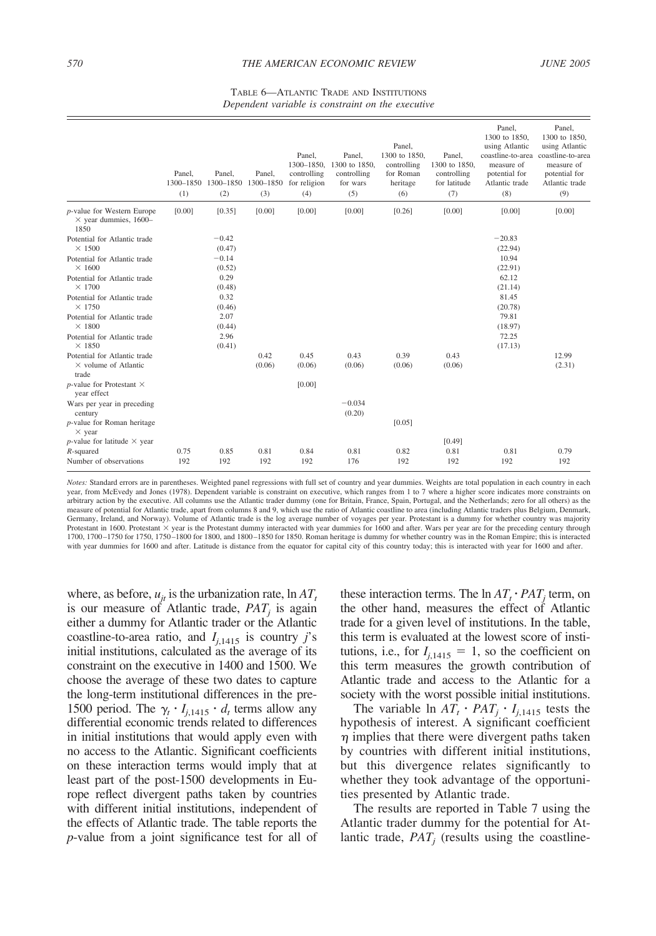#### TABLE 6—ATLANTIC TRADE AND INSTITUTIONS *Dependent variable is constraint on the executive*

|                                                                      | Panel.      | Panel.<br>1300-1850 1300-1850 | Panel.<br>1300-1850 | Panel,<br>1300-1850.<br>controlling<br>for religion | Panel,<br>1300 to 1850.<br>controlling<br>for wars | Panel.<br>1300 to 1850,<br>controlling<br>for Roman<br>heritage | Panel,<br>1300 to 1850.<br>controlling<br>for latitude | Panel.<br>1300 to 1850.<br>using Atlantic<br>coastline-to-area<br>measure of<br>potential for<br>Atlantic trade | Panel,<br>1300 to 1850.<br>using Atlantic<br>coastline-to-area<br>measure of<br>potential for<br>Atlantic trade |
|----------------------------------------------------------------------|-------------|-------------------------------|---------------------|-----------------------------------------------------|----------------------------------------------------|-----------------------------------------------------------------|--------------------------------------------------------|-----------------------------------------------------------------------------------------------------------------|-----------------------------------------------------------------------------------------------------------------|
|                                                                      | (1)         | (2)                           | (3)                 | (4)                                                 | (5)                                                | (6)                                                             | (7)                                                    | (8)                                                                                                             | (9)                                                                                                             |
| p-value for Western Europe<br>$\times$ year dummies, 1600-<br>1850   | [0.00]      | [0.35]                        | [0.00]              | [0.00]                                              | [0.00]                                             | [0.26]                                                          | [0.00]                                                 | [0.00]                                                                                                          | [0.00]                                                                                                          |
| Potential for Atlantic trade<br>$\times$ 1500                        |             | $-0.42$<br>(0.47)             |                     |                                                     |                                                    |                                                                 |                                                        | $-20.83$<br>(22.94)                                                                                             |                                                                                                                 |
| Potential for Atlantic trade<br>$\times$ 1600                        |             | $-0.14$<br>(0.52)             |                     |                                                     |                                                    |                                                                 |                                                        | 10.94<br>(22.91)                                                                                                |                                                                                                                 |
| Potential for Atlantic trade<br>$\times$ 1700                        |             | 0.29<br>(0.48)                |                     |                                                     |                                                    |                                                                 |                                                        | 62.12<br>(21.14)                                                                                                |                                                                                                                 |
| Potential for Atlantic trade<br>$\times$ 1750                        |             | 0.32<br>(0.46)                |                     |                                                     |                                                    |                                                                 |                                                        | 81.45<br>(20.78)                                                                                                |                                                                                                                 |
| Potential for Atlantic trade<br>$\times$ 1800                        |             | 2.07<br>(0.44)                |                     |                                                     |                                                    |                                                                 |                                                        | 79.81<br>(18.97)                                                                                                |                                                                                                                 |
| Potential for Atlantic trade<br>$\times$ 1850                        |             | 2.96<br>(0.41)                |                     |                                                     |                                                    |                                                                 |                                                        | 72.25<br>(17.13)                                                                                                |                                                                                                                 |
| Potential for Atlantic trade<br>$\times$ volume of Atlantic<br>trade |             |                               | 0.42<br>(0.06)      | 0.45<br>(0.06)                                      | 0.43<br>(0.06)                                     | 0.39<br>(0.06)                                                  | 0.43<br>(0.06)                                         |                                                                                                                 | 12.99<br>(2.31)                                                                                                 |
| $p$ -value for Protestant $\times$<br>year effect                    |             |                               |                     | [0.00]                                              |                                                    |                                                                 |                                                        |                                                                                                                 |                                                                                                                 |
| Wars per year in preceding<br>century                                |             |                               |                     |                                                     | $-0.034$<br>(0.20)                                 |                                                                 |                                                        |                                                                                                                 |                                                                                                                 |
| p-value for Roman heritage<br>$\times$ year                          |             |                               |                     |                                                     |                                                    | [0.05]                                                          |                                                        |                                                                                                                 |                                                                                                                 |
| <i>p</i> -value for latitude $\times$ year                           |             |                               |                     |                                                     |                                                    |                                                                 | [0.49]                                                 |                                                                                                                 |                                                                                                                 |
| $R$ -squared<br>Number of observations                               | 0.75<br>192 | 0.85<br>192                   | 0.81<br>192         | 0.84<br>192                                         | 0.81<br>176                                        | 0.82<br>192                                                     | 0.81<br>192                                            | 0.81<br>192                                                                                                     | 0.79<br>192                                                                                                     |

*Notes:* Standard errors are in parentheses. Weighted panel regressions with full set of country and year dummies. Weights are total population in each country in each year, from McEvedy and Jones (1978). Dependent variable is constraint on executive, which ranges from 1 to 7 where a higher score indicates more constraints on arbitrary action by the executive. All columns use the Atlantic trader dummy (one for Britain, France, Spain, Portugal, and the Netherlands; zero for all others) as the measure of potential for Atlantic trade, apart from columns 8 and 9, which use the ratio of Atlantic coastline to area (including Atlantic traders plus Belgium, Denmark, Germany, Ireland, and Norway). Volume of Atlantic trade is the log average number of voyages per year. Protestant is a dummy for whether country was majority<br>Protestant in 1600. Protestant × year is the Protestant dummy i 1700, 1700–1750 for 1750, 1750–1800 for 1800, and 1800–1850 for 1850. Roman heritage is dummy for whether country was in the Roman Empire; this is interacted with year dummies for 1600 and after. Latitude is distance from the equator for capital city of this country today; this is interacted with year for 1600 and after.

where, as before,  $u_{it}$  is the urbanization rate,  $\ln AT_t$ is our measure of Atlantic trade,  $PAT_i$  is again either a dummy for Atlantic trader or the Atlantic coastline-to-area ratio, and  $I_{i,1415}$  is country *j*'s initial institutions, calculated as the average of its constraint on the executive in 1400 and 1500. We choose the average of these two dates to capture the long-term institutional differences in the pre-1500 period. The  $\gamma_t \cdot I_{i,1415} \cdot d_t$  terms allow any differential economic trends related to differences in initial institutions that would apply even with no access to the Atlantic. Significant coefficients on these interaction terms would imply that at least part of the post-1500 developments in Europe reflect divergent paths taken by countries with different initial institutions, independent of the effects of Atlantic trade. The table reports the *p*-value from a joint significance test for all of these interaction terms. The  $\ln AT_t \cdot PAT_t$  term, on the other hand, measures the effect of Atlantic trade for a given level of institutions. In the table, this term is evaluated at the lowest score of institutions, i.e., for  $I_{j,1415} = 1$ , so the coefficient on this term measures the growth contribution of Atlantic trade and access to the Atlantic for a society with the worst possible initial institutions.

The variable  $\ln AT_t \cdot PAT_j \cdot I_{j,1415}$  tests the hypothesis of interest. A significant coefficient  $\eta$  implies that there were divergent paths taken by countries with different initial institutions, but this divergence relates significantly to whether they took advantage of the opportunities presented by Atlantic trade.

The results are reported in Table 7 using the Atlantic trader dummy for the potential for Atlantic trade,  $PAT_i$  (results using the coastline-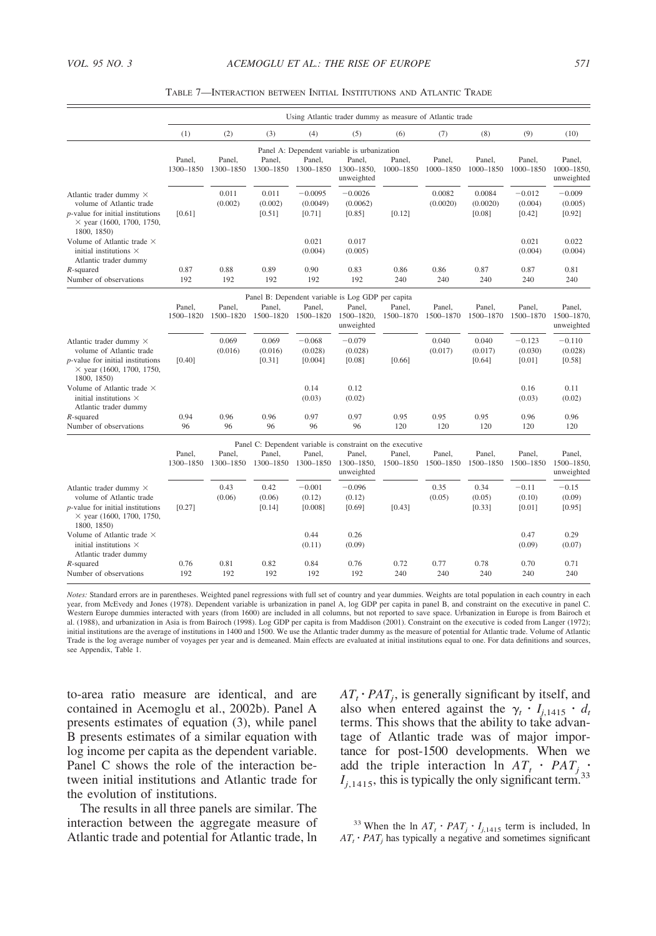|                                                                                                                                                      |                     |                     |                            |                                 | Using Atlantic trader dummy as measure of Atlantic trade                                         |                     |                     |                              |                               |                                    |
|------------------------------------------------------------------------------------------------------------------------------------------------------|---------------------|---------------------|----------------------------|---------------------------------|--------------------------------------------------------------------------------------------------|---------------------|---------------------|------------------------------|-------------------------------|------------------------------------|
|                                                                                                                                                      | (1)                 | (2)                 | (3)                        | (4)                             | (5)                                                                                              | (6)                 | (7)                 | (8)                          | (9)                           | (10)                               |
|                                                                                                                                                      | Panel.<br>1300-1850 | Panel,<br>1300-1850 | Panel,<br>1300-1850        | Panel,<br>1300-1850             | Panel A: Dependent variable is urbanization<br>Panel,<br>1300-1850.<br>unweighted                | Panel,<br>1000-1850 | Panel,<br>1000-1850 | Panel,<br>1000-1850          | Panel,<br>1000-1850           | Panel.<br>1000-1850.<br>unweighted |
| Atlantic trader dummy ×<br>volume of Atlantic trade<br>$p$ -value for initial institutions<br>$\times$ year (1600, 1700, 1750,<br>1800, 1850)        | [0.61]              | 0.011<br>(0.002)    | 0.011<br>(0.002)<br>[0.51] | $-0.0095$<br>(0.0049)<br>[0.71] | $-0.0026$<br>(0.0062)<br>[0.85]                                                                  | [0.12]              | 0.0082<br>(0.0020)  | 0.0084<br>(0.0020)<br>[0.08] | $-0.012$<br>(0.004)<br>[0.42] | $-0.009$<br>(0.005)<br>[0.92]      |
| Volume of Atlantic trade ×<br>initial institutions $\times$<br>Atlantic trader dummy                                                                 |                     |                     |                            | 0.021<br>(0.004)                | 0.017<br>(0.005)                                                                                 |                     |                     |                              | 0.021<br>(0.004)              | 0.022<br>(0.004)                   |
| $R$ -squared<br>Number of observations                                                                                                               | 0.87<br>192         | 0.88<br>192         | 0.89<br>192                | 0.90<br>192                     | 0.83<br>192                                                                                      | 0.86<br>240         | 0.86<br>240         | 0.87<br>240                  | 0.87<br>240                   | 0.81<br>240                        |
|                                                                                                                                                      |                     |                     |                            |                                 | Panel B: Dependent variable is Log GDP per capita                                                |                     |                     |                              |                               |                                    |
|                                                                                                                                                      | Panel,<br>1500-1820 | Panel.<br>1500-1820 | Panel.<br>1500-1820        | Panel.<br>1500-1820             | Panel.<br>1500-1820,<br>unweighted                                                               | Panel.<br>1500-1870 | Panel.<br>1500-1870 | Panel.<br>1500-1870          | Panel.<br>1500-1870           | Panel.<br>1500-1870.<br>unweighted |
| Atlantic trader dummy $\times$<br>volume of Atlantic trade<br>$p$ -value for initial institutions<br>$\times$ year (1600, 1700, 1750,<br>1800, 1850) | [0.40]              | 0.069<br>(0.016)    | 0.069<br>(0.016)<br>[0.31] | $-0.068$<br>(0.028)<br>[0.004]  | $-0.079$<br>(0.028)<br>[0.08]                                                                    | [0.66]              | 0.040<br>(0.017)    | 0.040<br>(0.017)<br>[0.64]   | $-0.123$<br>(0.030)<br>[0.01] | $-0.110$<br>(0.028)<br>[0.58]      |
| Volume of Atlantic trade $\times$<br>initial institutions $\times$<br>Atlantic trader dummy                                                          |                     |                     |                            | 0.14<br>(0.03)                  | 0.12<br>(0.02)                                                                                   |                     |                     |                              | 0.16<br>(0.03)                | 0.11<br>(0.02)                     |
| $R$ -squared<br>Number of observations                                                                                                               | 0.94<br>96          | 0.96<br>96          | 0.96<br>96                 | 0.97<br>96                      | 0.97<br>96                                                                                       | 0.95<br>120         | 0.95<br>120         | 0.95<br>120                  | 0.96<br>120                   | 0.96<br>120                        |
|                                                                                                                                                      | Panel,<br>1300-1850 | Panel,<br>1300-1850 | Panel,<br>1300-1850        | Panel.<br>1300-1850             | Panel C: Dependent variable is constraint on the executive<br>Panel.<br>1300-1850.<br>unweighted | Panel,<br>1500-1850 | Panel,<br>1500-1850 | Panel,<br>1500-1850          | Panel,<br>1500-1850           | Panel.<br>1500-1850.<br>unweighted |
| Atlantic trader dummy $\times$<br>volume of Atlantic trade<br>$p$ -value for initial institutions<br>$\times$ year (1600, 1700, 1750,<br>1800, 1850) | [0.27]              | 0.43<br>(0.06)      | 0.42<br>(0.06)<br>[0.14]   | $-0.001$<br>(0.12)<br>[0.008]   | $-0.096$<br>(0.12)<br>[0.69]                                                                     | [0.43]              | 0.35<br>(0.05)      | 0.34<br>(0.05)<br>[0.33]     | $-0.11$<br>(0.10)<br>[0.01]   | $-0.15$<br>(0.09)<br>[0.95]        |
| Volume of Atlantic trade ×<br>initial institutions $\times$<br>Atlantic trader dummy                                                                 |                     |                     |                            | 0.44<br>(0.11)                  | 0.26<br>(0.09)                                                                                   |                     |                     |                              | 0.47<br>(0.09)                | 0.29<br>(0.07)                     |
| $R$ -squared<br>Number of observations                                                                                                               | 0.76<br>192         | 0.81<br>192         | 0.82<br>192                | 0.84<br>192                     | 0.76<br>192                                                                                      | 0.72<br>240         | 0.77<br>240         | 0.78<br>240                  | 0.70<br>240                   | 0.71<br>240                        |

TABLE 7—INTERACTION BETWEEN INITIAL INSTITUTIONS AND ATLANTIC TRADE

*Notes:* Standard errors are in parentheses. Weighted panel regressions with full set of country and year dummies. Weights are total population in each country in each year, from McEvedy and Jones (1978). Dependent variable is urbanization in panel A, log GDP per capita in panel B, and constraint on the executive in panel C. Western Europe dummies interacted with years (from 1600) are included in all columns, but not reported to save space. Urbanization in Europe is from Bairoch et al. (1988), and urbanization in Asia is from Bairoch (1998). Log GDP per capita is from Maddison (2001). Constraint on the executive is coded from Langer (1972); initial institutions are the average of institutions in 1400 and 1500. We use the Atlantic trader dummy as the measure of potential for Atlantic trade. Volume of Atlantic Trade is the log average number of voyages per year and is demeaned. Main effects are evaluated at initial institutions equal to one. For data definitions and sources, see Appendix, Table 1.

to-area ratio measure are identical, and are contained in Acemoglu et al., 2002b). Panel A presents estimates of equation (3), while panel B presents estimates of a similar equation with log income per capita as the dependent variable. Panel C shows the role of the interaction between initial institutions and Atlantic trade for the evolution of institutions.

The results in all three panels are similar. The interaction between the aggregate measure of Atlantic trade and potential for Atlantic trade, ln  $AT_t \cdot PAT_t$ , is generally significant by itself, and also when entered against the  $\gamma_t \cdot I_{i,1415} \cdot d_t$ terms. This shows that the ability to take advantage of Atlantic trade was of major importance for post-1500 developments. When we add the triple interaction ln  $AT_t \cdot PAT_j$ .  $I_{j,1415}$ , this is typically the only significant term.<sup>33</sup>

<sup>33</sup> When the ln  $AT_t \cdot PAT_j \cdot I_{j,1415}$  term is included, ln  $AT_t \cdot PAT_j$  has typically a negative and sometimes significant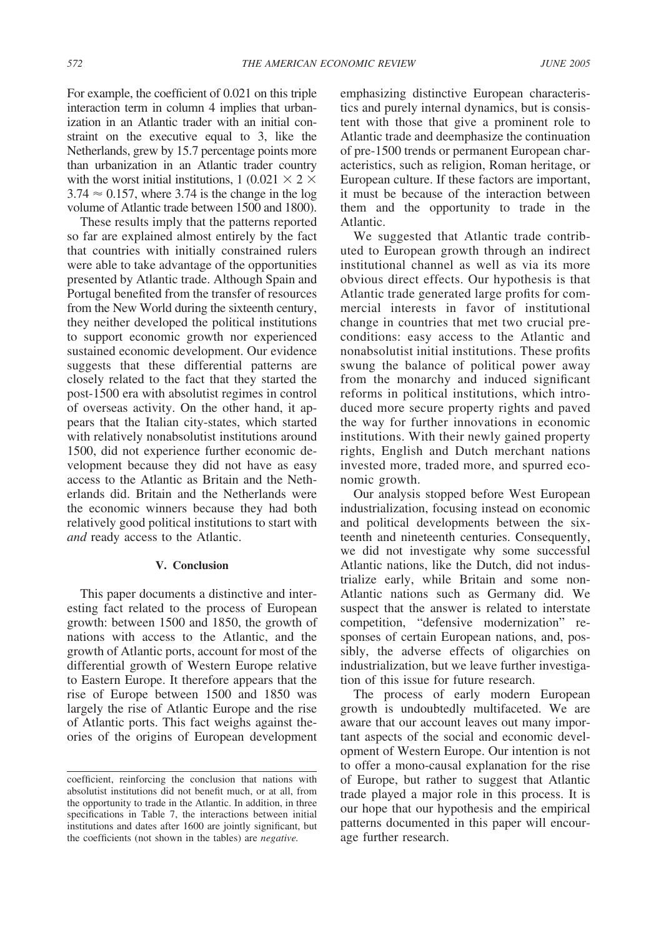For example, the coefficient of 0.021 on this triple interaction term in column 4 implies that urbanization in an Atlantic trader with an initial constraint on the executive equal to 3, like the Netherlands, grew by 15.7 percentage points more than urbanization in an Atlantic trader country with the worst initial institutions, 1 (0.021  $\times$  2  $\times$  $3.74 \approx 0.157$ , where 3.74 is the change in the log volume of Atlantic trade between 1500 and 1800).

These results imply that the patterns reported so far are explained almost entirely by the fact that countries with initially constrained rulers were able to take advantage of the opportunities presented by Atlantic trade. Although Spain and Portugal benefited from the transfer of resources from the New World during the sixteenth century, they neither developed the political institutions to support economic growth nor experienced sustained economic development. Our evidence suggests that these differential patterns are closely related to the fact that they started the post-1500 era with absolutist regimes in control of overseas activity. On the other hand, it appears that the Italian city-states, which started with relatively nonabsolutist institutions around 1500, did not experience further economic development because they did not have as easy access to the Atlantic as Britain and the Netherlands did. Britain and the Netherlands were the economic winners because they had both relatively good political institutions to start with *and* ready access to the Atlantic.

### **V. Conclusion**

This paper documents a distinctive and interesting fact related to the process of European growth: between 1500 and 1850, the growth of nations with access to the Atlantic, and the growth of Atlantic ports, account for most of the differential growth of Western Europe relative to Eastern Europe. It therefore appears that the rise of Europe between 1500 and 1850 was largely the rise of Atlantic Europe and the rise of Atlantic ports. This fact weighs against theories of the origins of European development emphasizing distinctive European characteristics and purely internal dynamics, but is consistent with those that give a prominent role to Atlantic trade and deemphasize the continuation of pre-1500 trends or permanent European characteristics, such as religion, Roman heritage, or European culture. If these factors are important, it must be because of the interaction between them and the opportunity to trade in the Atlantic.

We suggested that Atlantic trade contributed to European growth through an indirect institutional channel as well as via its more obvious direct effects. Our hypothesis is that Atlantic trade generated large profits for commercial interests in favor of institutional change in countries that met two crucial preconditions: easy access to the Atlantic and nonabsolutist initial institutions. These profits swung the balance of political power away from the monarchy and induced significant reforms in political institutions, which introduced more secure property rights and paved the way for further innovations in economic institutions. With their newly gained property rights, English and Dutch merchant nations invested more, traded more, and spurred economic growth.

Our analysis stopped before West European industrialization, focusing instead on economic and political developments between the sixteenth and nineteenth centuries. Consequently, we did not investigate why some successful Atlantic nations, like the Dutch, did not industrialize early, while Britain and some non-Atlantic nations such as Germany did. We suspect that the answer is related to interstate competition, "defensive modernization" responses of certain European nations, and, possibly, the adverse effects of oligarchies on industrialization, but we leave further investigation of this issue for future research.

The process of early modern European growth is undoubtedly multifaceted. We are aware that our account leaves out many important aspects of the social and economic development of Western Europe. Our intention is not to offer a mono-causal explanation for the rise of Europe, but rather to suggest that Atlantic trade played a major role in this process. It is our hope that our hypothesis and the empirical patterns documented in this paper will encourage further research.

coefficient, reinforcing the conclusion that nations with absolutist institutions did not benefit much, or at all, from the opportunity to trade in the Atlantic. In addition, in three specifications in Table 7, the interactions between initial institutions and dates after 1600 are jointly significant, but the coefficients (not shown in the tables) are *negative.*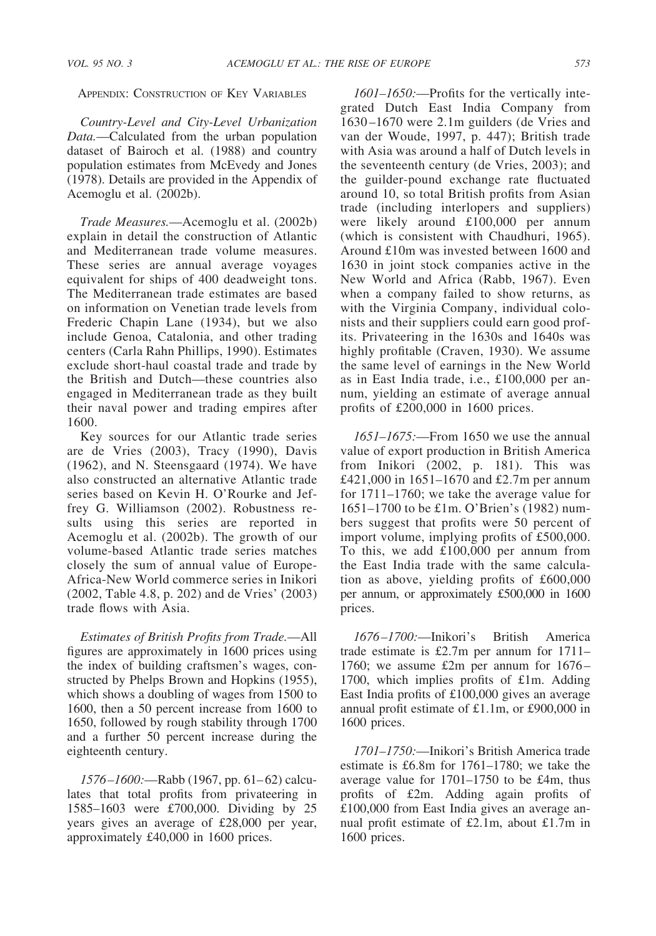APPENDIX: CONSTRUCTION OF KEY VARIABLES

*Country-Level and City-Level Urbanization Data.*—Calculated from the urban population dataset of Bairoch et al. (1988) and country population estimates from McEvedy and Jones (1978). Details are provided in the Appendix of Acemoglu et al. (2002b).

*Trade Measures.*—Acemoglu et al. (2002b) explain in detail the construction of Atlantic and Mediterranean trade volume measures. These series are annual average voyages equivalent for ships of 400 deadweight tons. The Mediterranean trade estimates are based on information on Venetian trade levels from Frederic Chapin Lane (1934), but we also include Genoa, Catalonia, and other trading centers (Carla Rahn Phillips, 1990). Estimates exclude short-haul coastal trade and trade by the British and Dutch—these countries also engaged in Mediterranean trade as they built their naval power and trading empires after 1600.

Key sources for our Atlantic trade series are de Vries (2003), Tracy (1990), Davis (1962), and N. Steensgaard (1974). We have also constructed an alternative Atlantic trade series based on Kevin H. O'Rourke and Jeffrey G. Williamson (2002). Robustness results using this series are reported in Acemoglu et al. (2002b). The growth of our volume-based Atlantic trade series matches closely the sum of annual value of Europe-Africa-New World commerce series in Inikori (2002, Table 4.8, p. 202) and de Vries' (2003) trade flows with Asia.

*Estimates of British Profits from Trade.*—All figures are approximately in 1600 prices using the index of building craftsmen's wages, constructed by Phelps Brown and Hopkins (1955), which shows a doubling of wages from 1500 to 1600, then a 50 percent increase from 1600 to 1650, followed by rough stability through 1700 and a further 50 percent increase during the eighteenth century.

*1576–1600:*—Rabb (1967, pp. 61–62) calculates that total profits from privateering in 1585–1603 were £700,000. Dividing by 25 years gives an average of £28,000 per year, approximately £40,000 in 1600 prices.

*1601–1650:*—Profits for the vertically integrated Dutch East India Company from 1630–1670 were 2.1m guilders (de Vries and van der Woude, 1997, p. 447); British trade with Asia was around a half of Dutch levels in the seventeenth century (de Vries, 2003); and the guilder-pound exchange rate fluctuated around 10, so total British profits from Asian trade (including interlopers and suppliers) were likely around £100,000 per annum (which is consistent with Chaudhuri, 1965). Around £10m was invested between 1600 and 1630 in joint stock companies active in the New World and Africa (Rabb, 1967). Even when a company failed to show returns, as with the Virginia Company, individual colonists and their suppliers could earn good profits. Privateering in the 1630s and 1640s was highly profitable (Craven, 1930). We assume the same level of earnings in the New World as in East India trade, i.e., £100,000 per annum, yielding an estimate of average annual profits of £200,000 in 1600 prices.

*1651–1675:*—From 1650 we use the annual value of export production in British America from Inikori (2002, p. 181). This was £421,000 in 1651–1670 and £2.7m per annum for 1711–1760; we take the average value for 1651–1700 to be £1m. O'Brien's (1982) numbers suggest that profits were 50 percent of import volume, implying profits of £500,000. To this, we add £100,000 per annum from the East India trade with the same calculation as above, yielding profits of £600,000 per annum, or approximately £500,000 in 1600 prices.

*1676–1700:*—Inikori's British America trade estimate is £2.7m per annum for 1711– 1760; we assume £2m per annum for 1676– 1700, which implies profits of £1m. Adding East India profits of £100,000 gives an average annual profit estimate of £1.1m, or £900,000 in 1600 prices.

*1701–1750:*—Inikori's British America trade estimate is £6.8m for 1761–1780; we take the average value for 1701–1750 to be £4m, thus profits of £2m. Adding again profits of £100,000 from East India gives an average annual profit estimate of £2.1m, about £1.7m in 1600 prices.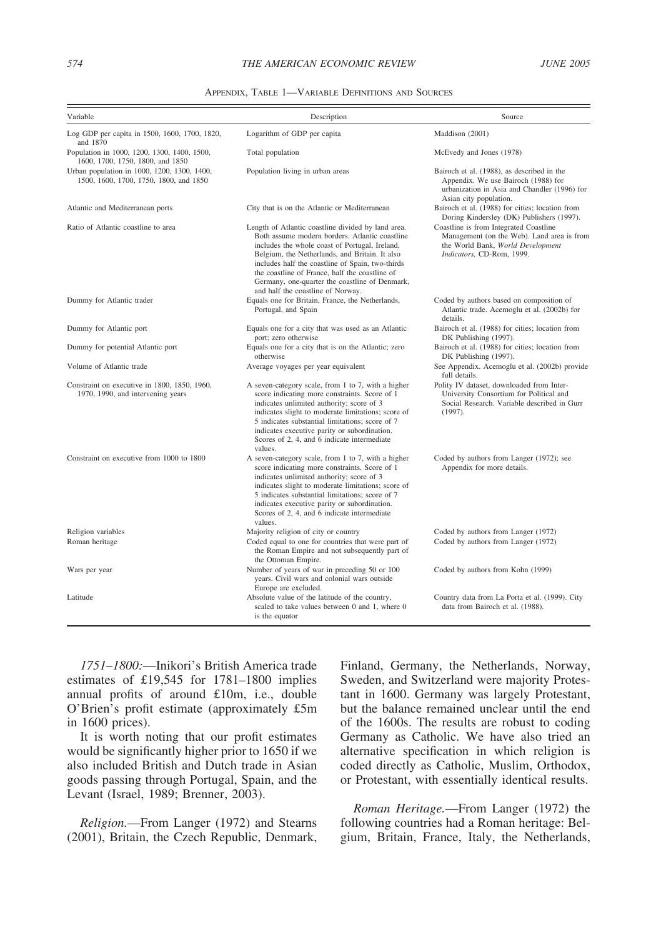| APPENDIX. TABLE 1—VARIABLE DEFINITIONS AND SOURCES |  |  |
|----------------------------------------------------|--|--|
|----------------------------------------------------|--|--|

| Variable                                                                              | Description                                                                                                                                                                                                                                                                                                                                                                                           | Source                                                                                                                                                      |
|---------------------------------------------------------------------------------------|-------------------------------------------------------------------------------------------------------------------------------------------------------------------------------------------------------------------------------------------------------------------------------------------------------------------------------------------------------------------------------------------------------|-------------------------------------------------------------------------------------------------------------------------------------------------------------|
| Log GDP per capita in 1500, 1600, 1700, 1820,<br>and 1870                             | Logarithm of GDP per capita                                                                                                                                                                                                                                                                                                                                                                           | Maddison (2001)                                                                                                                                             |
| Population in 1000, 1200, 1300, 1400, 1500,<br>1600, 1700, 1750, 1800, and 1850       | Total population                                                                                                                                                                                                                                                                                                                                                                                      | McEvedy and Jones (1978)                                                                                                                                    |
| Urban population in 1000, 1200, 1300, 1400,<br>1500, 1600, 1700, 1750, 1800, and 1850 | Population living in urban areas                                                                                                                                                                                                                                                                                                                                                                      | Bairoch et al. (1988), as described in the<br>Appendix. We use Bairoch (1988) for<br>urbanization in Asia and Chandler (1996) for<br>Asian city population. |
| Atlantic and Mediterranean ports                                                      | City that is on the Atlantic or Mediterranean                                                                                                                                                                                                                                                                                                                                                         | Bairoch et al. (1988) for cities; location from<br>Doring Kindersley (DK) Publishers (1997).                                                                |
| Ratio of Atlantic coastline to area                                                   | Length of Atlantic coastline divided by land area.<br>Both assume modern borders. Atlantic coastline<br>includes the whole coast of Portugal, Ireland,<br>Belgium, the Netherlands, and Britain. It also<br>includes half the coastline of Spain, two-thirds<br>the coastline of France, half the coastline of<br>Germany, one-quarter the coastline of Denmark,<br>and half the coastline of Norway. | Coastline is from Integrated Coastline<br>Management (on the Web). Land area is from<br>the World Bank, World Development<br>Indicators, CD-Rom, 1999.      |
| Dummy for Atlantic trader                                                             | Equals one for Britain, France, the Netherlands,<br>Portugal, and Spain                                                                                                                                                                                                                                                                                                                               | Coded by authors based on composition of<br>Atlantic trade. Acemoglu et al. (2002b) for<br>details.                                                         |
| Dummy for Atlantic port                                                               | Equals one for a city that was used as an Atlantic<br>port; zero otherwise                                                                                                                                                                                                                                                                                                                            | Bairoch et al. (1988) for cities; location from<br>DK Publishing (1997).                                                                                    |
| Dummy for potential Atlantic port                                                     | Equals one for a city that is on the Atlantic; zero<br>otherwise                                                                                                                                                                                                                                                                                                                                      | Bairoch et al. (1988) for cities; location from<br>DK Publishing (1997).                                                                                    |
| Volume of Atlantic trade                                                              | Average voyages per year equivalent                                                                                                                                                                                                                                                                                                                                                                   | See Appendix. Acemoglu et al. (2002b) provide<br>full details.                                                                                              |
| Constraint on executive in 1800, 1850, 1960,<br>1970, 1990, and intervening years     | A seven-category scale, from 1 to 7, with a higher<br>score indicating more constraints. Score of 1<br>indicates unlimited authority; score of 3<br>indicates slight to moderate limitations; score of<br>5 indicates substantial limitations; score of 7<br>indicates executive parity or subordination.<br>Scores of 2, 4, and 6 indicate intermediate<br>values.                                   | Polity IV dataset, downloaded from Inter-<br>University Consortium for Political and<br>Social Research. Variable described in Gurr<br>(1997).              |
| Constraint on executive from 1000 to 1800                                             | A seven-category scale, from 1 to 7, with a higher<br>score indicating more constraints. Score of 1<br>indicates unlimited authority; score of 3<br>indicates slight to moderate limitations; score of<br>5 indicates substantial limitations; score of 7<br>indicates executive parity or subordination.<br>Scores of 2, 4, and 6 indicate intermediate<br>values.                                   | Coded by authors from Langer (1972); see<br>Appendix for more details.                                                                                      |
| Religion variables                                                                    | Majority religion of city or country                                                                                                                                                                                                                                                                                                                                                                  | Coded by authors from Langer (1972)                                                                                                                         |
| Roman heritage                                                                        | Coded equal to one for countries that were part of<br>the Roman Empire and not subsequently part of<br>the Ottoman Empire.                                                                                                                                                                                                                                                                            | Coded by authors from Langer (1972)                                                                                                                         |
| Wars per year                                                                         | Number of years of war in preceding 50 or 100<br>years. Civil wars and colonial wars outside<br>Europe are excluded.                                                                                                                                                                                                                                                                                  | Coded by authors from Kohn (1999)                                                                                                                           |
| Latitude                                                                              | Absolute value of the latitude of the country,<br>scaled to take values between 0 and 1, where 0<br>is the equator                                                                                                                                                                                                                                                                                    | Country data from La Porta et al. (1999). City<br>data from Bairoch et al. (1988).                                                                          |

*1751–1800:*—Inikori's British America trade estimates of £19,545 for 1781–1800 implies annual profits of around £10m, i.e., double O'Brien's profit estimate (approximately £5m in 1600 prices).

It is worth noting that our profit estimates would be significantly higher prior to 1650 if we also included British and Dutch trade in Asian goods passing through Portugal, Spain, and the Levant (Israel, 1989; Brenner, 2003).

*Religion.*—From Langer (1972) and Stearns (2001), Britain, the Czech Republic, Denmark, Finland, Germany, the Netherlands, Norway, Sweden, and Switzerland were majority Protestant in 1600. Germany was largely Protestant, but the balance remained unclear until the end of the 1600s. The results are robust to coding Germany as Catholic. We have also tried an alternative specification in which religion is coded directly as Catholic, Muslim, Orthodox, or Protestant, with essentially identical results.

*Roman Heritage.*—From Langer (1972) the following countries had a Roman heritage: Belgium, Britain, France, Italy, the Netherlands,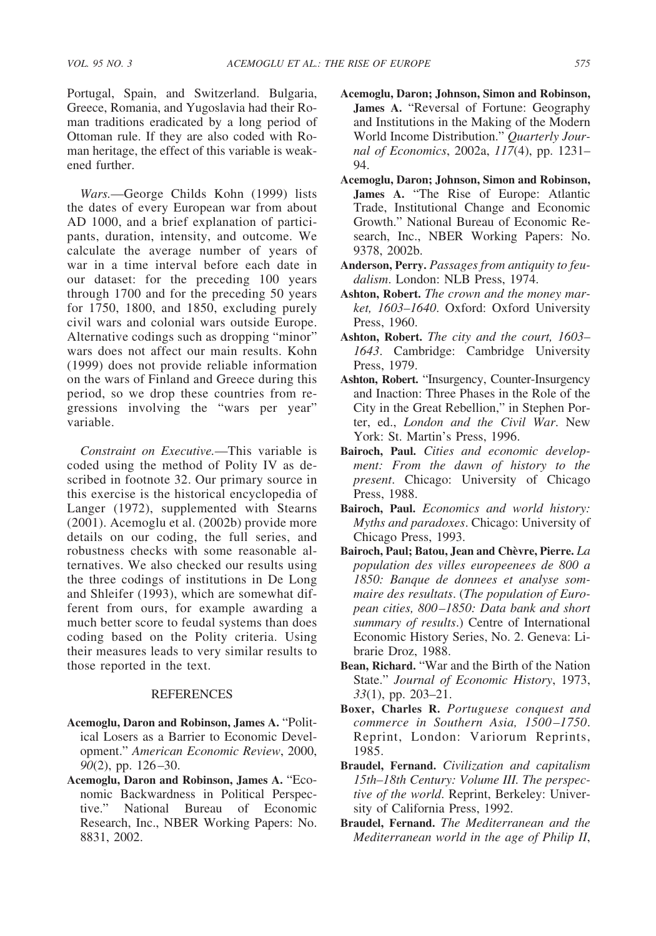Portugal, Spain, and Switzerland. Bulgaria, Greece, Romania, and Yugoslavia had their Roman traditions eradicated by a long period of Ottoman rule. If they are also coded with Roman heritage, the effect of this variable is weakened further.

*Wars.*—George Childs Kohn (1999) lists the dates of every European war from about AD 1000, and a brief explanation of participants, duration, intensity, and outcome. We calculate the average number of years of war in a time interval before each date in our dataset: for the preceding 100 years through 1700 and for the preceding 50 years for 1750, 1800, and 1850, excluding purely civil wars and colonial wars outside Europe. Alternative codings such as dropping "minor" wars does not affect our main results. Kohn (1999) does not provide reliable information on the wars of Finland and Greece during this period, so we drop these countries from regressions involving the "wars per year" variable.

*Constraint on Executive.*—This variable is coded using the method of Polity IV as described in footnote 32. Our primary source in this exercise is the historical encyclopedia of Langer (1972), supplemented with Stearns (2001). Acemoglu et al. (2002b) provide more details on our coding, the full series, and robustness checks with some reasonable alternatives. We also checked our results using the three codings of institutions in De Long and Shleifer (1993), which are somewhat different from ours, for example awarding a much better score to feudal systems than does coding based on the Polity criteria. Using their measures leads to very similar results to those reported in the text.

# **REFERENCES**

- **Acemoglu, Daron and Robinson, James A.** "Political Losers as a Barrier to Economic Development." *American Economic Review*, 2000, *90*(2), pp. 126–30.
- **Acemoglu, Daron and Robinson, James A.** "Economic Backwardness in Political Perspective." National Bureau of Economic Research, Inc., NBER Working Papers: No. 8831, 2002.
- **Acemoglu, Daron; Johnson, Simon and Robinson, James A.** "Reversal of Fortune: Geography and Institutions in the Making of the Modern World Income Distribution." *Quarterly Journal of Economics*, 2002a, *117*(4), pp. 1231– 94.
- **Acemoglu, Daron; Johnson, Simon and Robinson, James A.** "The Rise of Europe: Atlantic Trade, Institutional Change and Economic Growth." National Bureau of Economic Research, Inc., NBER Working Papers: No. 9378, 2002b.
- **Anderson, Perry.** *Passages from antiquity to feudalism*. London: NLB Press, 1974.
- **Ashton, Robert.** *The crown and the money market, 1603–1640*. Oxford: Oxford University Press, 1960.
- **Ashton, Robert.** *The city and the court, 1603– 1643*. Cambridge: Cambridge University Press, 1979.
- **Ashton, Robert.** "Insurgency, Counter-Insurgency and Inaction: Three Phases in the Role of the City in the Great Rebellion," in Stephen Porter, ed., *London and the Civil War*. New York: St. Martin's Press, 1996.
- **Bairoch, Paul.** *Cities and economic development: From the dawn of history to the present*. Chicago: University of Chicago Press, 1988.
- **Bairoch, Paul.** *Economics and world history: Myths and paradoxes*. Chicago: University of Chicago Press, 1993.
- Bairoch, Paul; Batou, Jean and Chèvre, Pierre. La *population des villes europeenees de 800 a 1850: Banque de donnees et analyse sommaire des resultats*. (*The population of European cities, 800–1850: Data bank and short summary of results*.) Centre of International Economic History Series, No. 2. Geneva: Librarie Droz, 1988.
- **Bean, Richard.** "War and the Birth of the Nation State." *Journal of Economic History*, 1973, *33*(1), pp. 203–21.
- **Boxer, Charles R.** *Portuguese conquest and commerce in Southern Asia, 1500–1750*. Reprint, London: Variorum Reprints, 1985.
- **Braudel, Fernand.** *Civilization and capitalism 15th–18th Century: Volume III. The perspective of the world*. Reprint, Berkeley: University of California Press, 1992.
- **Braudel, Fernand.** *The Mediterranean and the Mediterranean world in the age of Philip II*,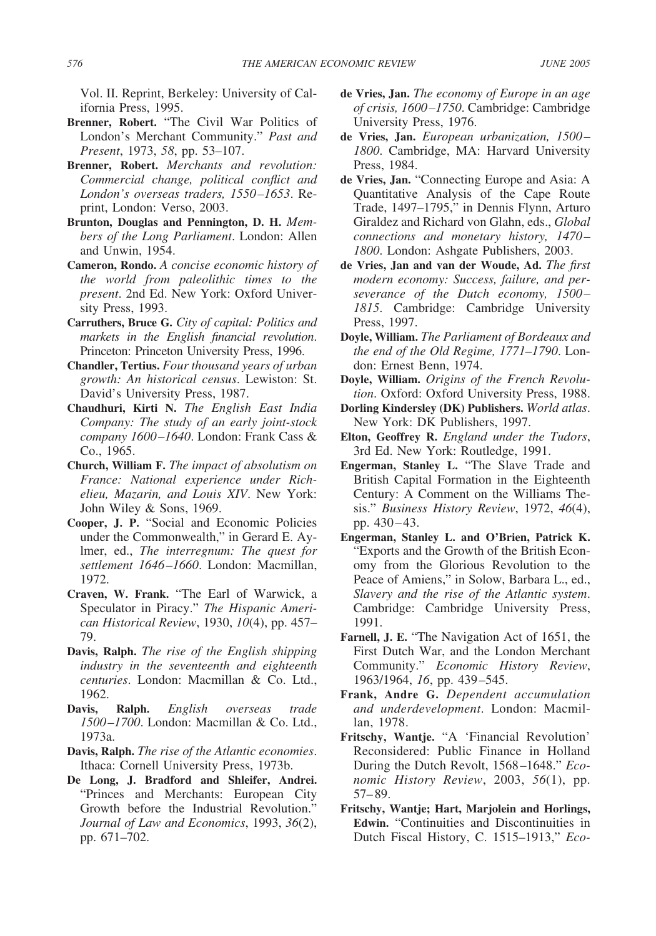Vol. II. Reprint, Berkeley: University of California Press, 1995.

- **Brenner, Robert.** "The Civil War Politics of London's Merchant Community." *Past and Present*, 1973, *58*, pp. 53–107.
- **Brenner, Robert.** *Merchants and revolution: Commercial change, political conflict and London's overseas traders, 1550–1653*. Reprint, London: Verso, 2003.
- **Brunton, Douglas and Pennington, D. H.** *Members of the Long Parliament*. London: Allen and Unwin, 1954.
- **Cameron, Rondo.** *A concise economic history of the world from paleolithic times to the present*. 2nd Ed. New York: Oxford University Press, 1993.
- **Carruthers, Bruce G.** *City of capital: Politics and markets in the English financial revolution*. Princeton: Princeton University Press, 1996.
- **Chandler, Tertius.** *Four thousand years of urban growth: An historical census*. Lewiston: St. David's University Press, 1987.
- **Chaudhuri, Kirti N.** *The English East India Company: The study of an early joint-stock company 1600–1640*. London: Frank Cass & Co., 1965.
- **Church, William F.** *The impact of absolutism on France: National experience under Richelieu, Mazarin, and Louis XIV*. New York: John Wiley & Sons, 1969.
- **Cooper, J. P.** "Social and Economic Policies under the Commonwealth," in Gerard E. Aylmer, ed., *The interregnum: The quest for settlement 1646–1660*. London: Macmillan, 1972.
- **Craven, W. Frank.** "The Earl of Warwick, a Speculator in Piracy." *The Hispanic American Historical Review*, 1930, *10*(4), pp. 457– 79.
- **Davis, Ralph.** *The rise of the English shipping industry in the seventeenth and eighteenth centuries*. London: Macmillan & Co. Ltd., 1962.
- **Davis, Ralph.** *English overseas trade 1500–1700*. London: Macmillan & Co. Ltd., 1973a.
- **Davis, Ralph.** *The rise of the Atlantic economies*. Ithaca: Cornell University Press, 1973b.
- **De Long, J. Bradford and Shleifer, Andrei.** "Princes and Merchants: European City Growth before the Industrial Revolution." *Journal of Law and Economics*, 1993, *36*(2), pp. 671–702.
- **de Vries, Jan.** *The economy of Europe in an age of crisis, 1600–1750*. Cambridge: Cambridge University Press, 1976.
- **de Vries, Jan.** *European urbanization, 1500– 1800*. Cambridge, MA: Harvard University Press, 1984.
- **de Vries, Jan.** "Connecting Europe and Asia: A Quantitative Analysis of the Cape Route Trade, 1497–1795," in Dennis Flynn, Arturo Giraldez and Richard von Glahn, eds., *Global connections and monetary history, 1470– 1800*. London: Ashgate Publishers, 2003.
- **de Vries, Jan and van der Woude, Ad.** *The first modern economy: Success, failure, and perseverance of the Dutch economy, 1500– 1815*. Cambridge: Cambridge University Press, 1997.
- **Doyle, William.** *The Parliament of Bordeaux and the end of the Old Regime, 1771–1790*. London: Ernest Benn, 1974.
- **Doyle, William.** *Origins of the French Revolution*. Oxford: Oxford University Press, 1988.
- **Dorling Kindersley (DK) Publishers.** *World atlas*. New York: DK Publishers, 1997.
- **Elton, Geoffrey R.** *England under the Tudors*, 3rd Ed. New York: Routledge, 1991.
- **Engerman, Stanley L.** "The Slave Trade and British Capital Formation in the Eighteenth Century: A Comment on the Williams Thesis." *Business History Review*, 1972, *46*(4), pp. 430–43.
- **Engerman, Stanley L. and O'Brien, Patrick K.** "Exports and the Growth of the British Economy from the Glorious Revolution to the Peace of Amiens," in Solow, Barbara L., ed., *Slavery and the rise of the Atlantic system*. Cambridge: Cambridge University Press, 1991.
- **Farnell, J. E.** "The Navigation Act of 1651, the First Dutch War, and the London Merchant Community." *Economic History Review*, 1963/1964, *16*, pp. 439–545.
- **Frank, Andre G.** *Dependent accumulation and underdevelopment*. London: Macmillan, 1978.
- **Fritschy, Wantje.** "A 'Financial Revolution' Reconsidered: Public Finance in Holland During the Dutch Revolt, 1568–1648." *Economic History Review*, 2003, *56*(1), pp. 57–89.
- **Fritschy, Wantje; Hart, Marjolein and Horlings, Edwin.** "Continuities and Discontinuities in Dutch Fiscal History, C. 1515–1913," *Eco-*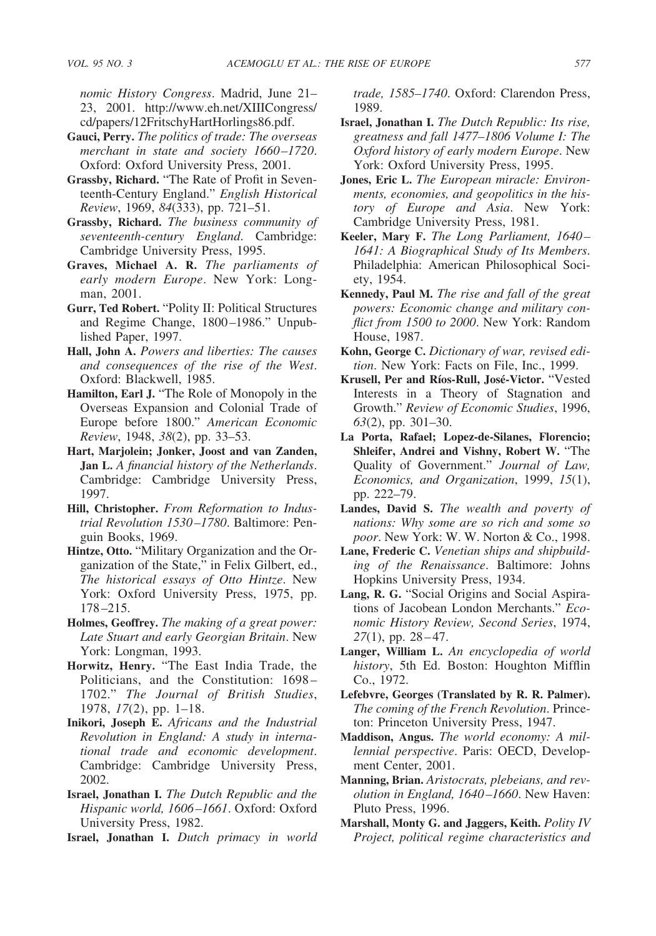*nomic History Congress*. Madrid, June 21– 23, 2001. http://www.eh.net/XIIICongress/ cd/papers/12FritschyHartHorlings86.pdf.

- **Gauci, Perry.** *The politics of trade: The overseas merchant in state and society 1660–1720*. Oxford: Oxford University Press, 2001.
- **Grassby, Richard.** "The Rate of Profit in Seventeenth-Century England." *English Historical Review*, 1969, *84*(333), pp. 721–51.
- **Grassby, Richard.** *The business community of seventeenth-century England*. Cambridge: Cambridge University Press, 1995.
- **Graves, Michael A. R.** *The parliaments of early modern Europe*. New York: Longman, 2001.
- **Gurr, Ted Robert.** "Polity II: Political Structures and Regime Change, 1800–1986." Unpublished Paper, 1997.
- **Hall, John A.** *Powers and liberties: The causes and consequences of the rise of the West*. Oxford: Blackwell, 1985.
- **Hamilton, Earl J.** "The Role of Monopoly in the Overseas Expansion and Colonial Trade of Europe before 1800." *American Economic Review*, 1948, *38*(2), pp. 33–53.
- **Hart, Marjolein; Jonker, Joost and van Zanden, Jan L.** *A financial history of the Netherlands*. Cambridge: Cambridge University Press, 1997.
- **Hill, Christopher.** *From Reformation to Industrial Revolution 1530–1780*. Baltimore: Penguin Books, 1969.
- **Hintze, Otto.** "Military Organization and the Organization of the State," in Felix Gilbert, ed., *The historical essays of Otto Hintze*. New York: Oxford University Press, 1975, pp. 178–215.
- **Holmes, Geoffrey.** *The making of a great power: Late Stuart and early Georgian Britain*. New York: Longman, 1993.
- **Horwitz, Henry.** "The East India Trade, the Politicians, and the Constitution: 1698– 1702." *The Journal of British Studies*, 1978, *17*(2), pp. 1–18.
- **Inikori, Joseph E.** *Africans and the Industrial Revolution in England: A study in international trade and economic development*. Cambridge: Cambridge University Press, 2002.
- **Israel, Jonathan I.** *The Dutch Republic and the Hispanic world, 1606–1661*. Oxford: Oxford University Press, 1982.
- **Israel, Jonathan I.** *Dutch primacy in world*

*trade, 1585–1740*. Oxford: Clarendon Press, 1989.

- **Israel, Jonathan I.** *The Dutch Republic: Its rise, greatness and fall 1477–1806 Volume I: The Oxford history of early modern Europe*. New York: Oxford University Press, 1995.
- **Jones, Eric L.** *The European miracle: Environments, economies, and geopolitics in the history of Europe and Asia*. New York: Cambridge University Press, 1981.
- **Keeler, Mary F.** *The Long Parliament, 1640– 1641: A Biographical Study of Its Members*. Philadelphia: American Philosophical Society, 1954.
- **Kennedy, Paul M.** *The rise and fall of the great powers: Economic change and military conflict from 1500 to 2000*. New York: Random House, 1987.
- **Kohn, George C.** *Dictionary of war, revised edition*. New York: Facts on File, Inc., 1999.
- Krusell, Per and Ríos-Rull, José-Victor. "Vested Interests in a Theory of Stagnation and Growth." *Review of Economic Studies*, 1996, *63*(2), pp. 301–30.
- **La Porta, Rafael; Lopez-de-Silanes, Florencio; Shleifer, Andrei and Vishny, Robert W.** "The Quality of Government." *Journal of Law, Economics, and Organization*, 1999, *15*(1), pp. 222–79.
- **Landes, David S.** *The wealth and poverty of nations: Why some are so rich and some so poor*. New York: W. W. Norton & Co., 1998.
- **Lane, Frederic C.** *Venetian ships and shipbuilding of the Renaissance*. Baltimore: Johns Hopkins University Press, 1934.
- **Lang, R. G.** "Social Origins and Social Aspirations of Jacobean London Merchants." *Economic History Review, Second Series*, 1974, *27*(1), pp. 28–47.
- **Langer, William L.** *An encyclopedia of world history*, 5th Ed. Boston: Houghton Mifflin Co., 1972.
- **Lefebvre, Georges (Translated by R. R. Palmer).** *The coming of the French Revolution*. Princeton: Princeton University Press, 1947.
- **Maddison, Angus.** *The world economy: A millennial perspective*. Paris: OECD, Development Center, 2001.
- **Manning, Brian.** *Aristocrats, plebeians, and revolution in England, 1640–1660*. New Haven: Pluto Press, 1996.
- **Marshall, Monty G. and Jaggers, Keith.** *Polity IV Project, political regime characteristics and*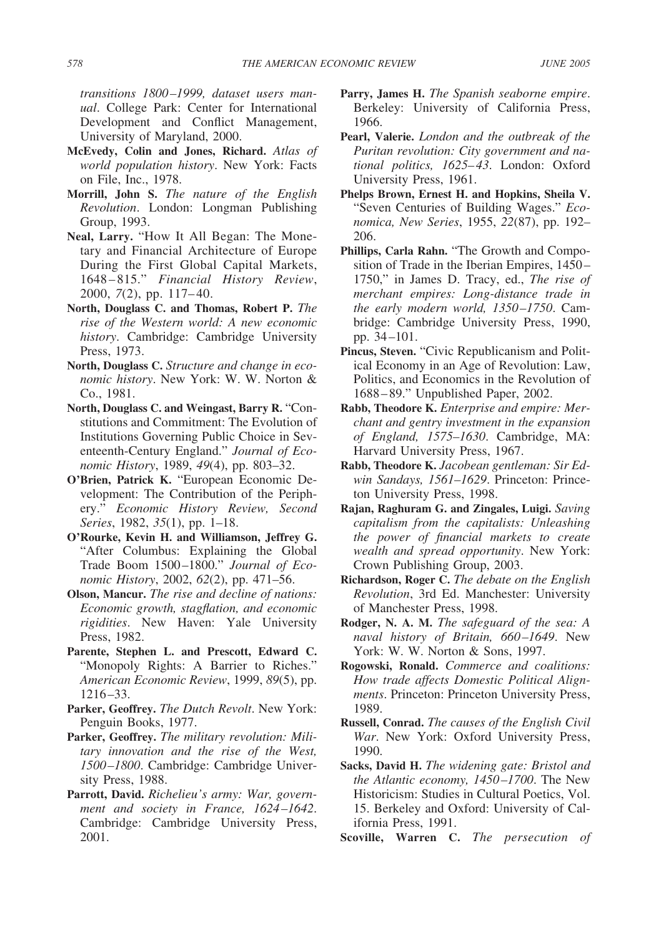*transitions 1800–1999, dataset users manual*. College Park: Center for International Development and Conflict Management, University of Maryland, 2000.

- **McEvedy, Colin and Jones, Richard.** *Atlas of world population history*. New York: Facts on File, Inc., 1978.
- **Morrill, John S.** *The nature of the English Revolution*. London: Longman Publishing Group, 1993.
- **Neal, Larry.** "How It All Began: The Monetary and Financial Architecture of Europe During the First Global Capital Markets, 1648–815." *Financial History Review*, 2000, *7*(2), pp. 117–40.
- **North, Douglass C. and Thomas, Robert P.** *The rise of the Western world: A new economic history*. Cambridge: Cambridge University Press, 1973.
- **North, Douglass C.** *Structure and change in economic history*. New York: W. W. Norton & Co., 1981.
- **North, Douglass C. and Weingast, Barry R.** "Constitutions and Commitment: The Evolution of Institutions Governing Public Choice in Seventeenth-Century England." *Journal of Economic History*, 1989, *49*(4), pp. 803–32.
- **O'Brien, Patrick K.** "European Economic Development: The Contribution of the Periphery." *Economic History Review, Second Series*, 1982, *35*(1), pp. 1–18.
- **O'Rourke, Kevin H. and Williamson, Jeffrey G.** "After Columbus: Explaining the Global Trade Boom 1500–1800." *Journal of Economic History*, 2002, *62*(2), pp. 471–56.
- **Olson, Mancur.** *The rise and decline of nations: Economic growth, stagflation, and economic rigidities*. New Haven: Yale University Press, 1982.
- **Parente, Stephen L. and Prescott, Edward C.** "Monopoly Rights: A Barrier to Riches." *American Economic Review*, 1999, *89*(5), pp. 1216–33.
- **Parker, Geoffrey.** *The Dutch Revolt*. New York: Penguin Books, 1977.
- **Parker, Geoffrey.** *The military revolution: Military innovation and the rise of the West, 1500–1800*. Cambridge: Cambridge University Press, 1988.
- **Parrott, David.** *Richelieu's army: War, government and society in France, 1624–1642*. Cambridge: Cambridge University Press, 2001.
- **Parry, James H.** *The Spanish seaborne empire*. Berkeley: University of California Press, 1966.
- **Pearl, Valerie.** *London and the outbreak of the Puritan revolution: City government and national politics, 1625–43*. London: Oxford University Press, 1961.
- **Phelps Brown, Ernest H. and Hopkins, Sheila V.** "Seven Centuries of Building Wages." *Economica, New Series*, 1955, *22*(87), pp. 192– 206.
- **Phillips, Carla Rahn.** "The Growth and Composition of Trade in the Iberian Empires, 1450– 1750," in James D. Tracy, ed., *The rise of merchant empires: Long-distance trade in the early modern world, 1350–1750*. Cambridge: Cambridge University Press, 1990, pp. 34–101.
- **Pincus, Steven.** "Civic Republicanism and Political Economy in an Age of Revolution: Law, Politics, and Economics in the Revolution of 1688–89." Unpublished Paper, 2002.
- **Rabb, Theodore K.** *Enterprise and empire: Merchant and gentry investment in the expansion of England, 1575–1630*. Cambridge, MA: Harvard University Press, 1967.
- **Rabb, Theodore K.** *Jacobean gentleman: Sir Edwin Sandays, 1561–1629*. Princeton: Princeton University Press, 1998.
- **Rajan, Raghuram G. and Zingales, Luigi.** *Saving capitalism from the capitalists: Unleashing the power of financial markets to create wealth and spread opportunity*. New York: Crown Publishing Group, 2003.
- **Richardson, Roger C.** *The debate on the English Revolution*, 3rd Ed. Manchester: University of Manchester Press, 1998.
- **Rodger, N. A. M.** *The safeguard of the sea: A naval history of Britain, 660–1649*. New York: W. W. Norton & Sons, 1997.
- **Rogowski, Ronald.** *Commerce and coalitions: How trade affects Domestic Political Alignments*. Princeton: Princeton University Press, 1989.
- **Russell, Conrad.** *The causes of the English Civil War*. New York: Oxford University Press, 1990.
- **Sacks, David H.** *The widening gate: Bristol and the Atlantic economy, 1450–1700*. The New Historicism: Studies in Cultural Poetics, Vol. 15. Berkeley and Oxford: University of California Press, 1991.
- **Scoville, Warren C.** *The persecution of*